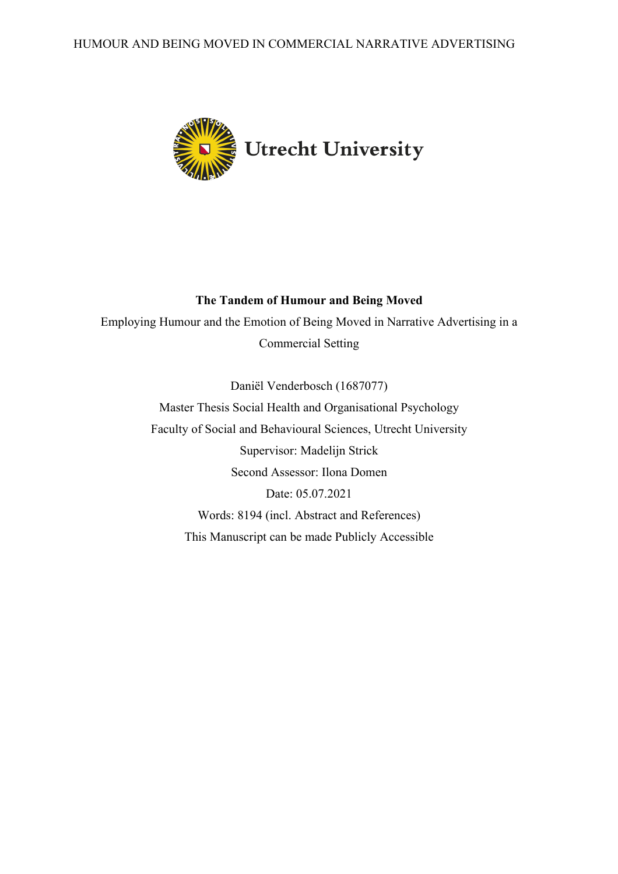

## **The Tandem of Humour and Being Moved**

Employing Humour and the Emotion of Being Moved in Narrative Advertising in a Commercial Setting

> Daniël Venderbosch (1687077) Master Thesis Social Health and Organisational Psychology Faculty of Social and Behavioural Sciences, Utrecht University Supervisor: Madelijn Strick Second Assessor: Ilona Domen Date: 05.07.2021 Words: 8194 (incl. Abstract and References) This Manuscript can be made Publicly Accessible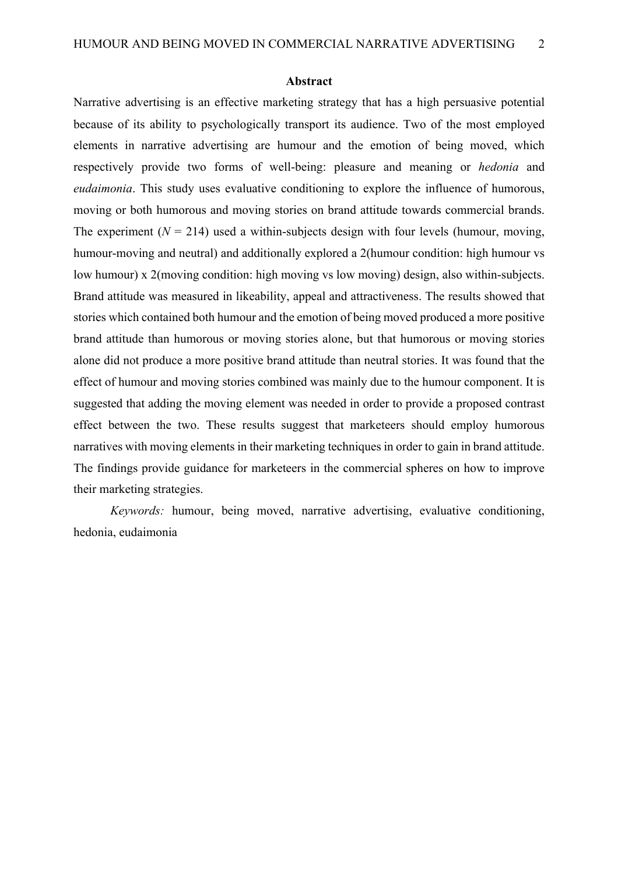#### **Abstract**

Narrative advertising is an effective marketing strategy that has a high persuasive potential because of its ability to psychologically transport its audience. Two of the most employed elements in narrative advertising are humour and the emotion of being moved, which respectively provide two forms of well-being: pleasure and meaning or *hedonia* and *eudaimonia*. This study uses evaluative conditioning to explore the influence of humorous, moving or both humorous and moving stories on brand attitude towards commercial brands. The experiment  $(N = 214)$  used a within-subjects design with four levels (humour, moving, humour-moving and neutral) and additionally explored a 2(humour condition: high humour vs low humour) x 2(moving condition: high moving vs low moving) design, also within-subjects. Brand attitude was measured in likeability, appeal and attractiveness. The results showed that stories which contained both humour and the emotion of being moved produced a more positive brand attitude than humorous or moving stories alone, but that humorous or moving stories alone did not produce a more positive brand attitude than neutral stories. It was found that the effect of humour and moving stories combined was mainly due to the humour component. It is suggested that adding the moving element was needed in order to provide a proposed contrast effect between the two. These results suggest that marketeers should employ humorous narratives with moving elements in their marketing techniques in order to gain in brand attitude. The findings provide guidance for marketeers in the commercial spheres on how to improve their marketing strategies.

*Keywords:* humour, being moved, narrative advertising, evaluative conditioning, hedonia, eudaimonia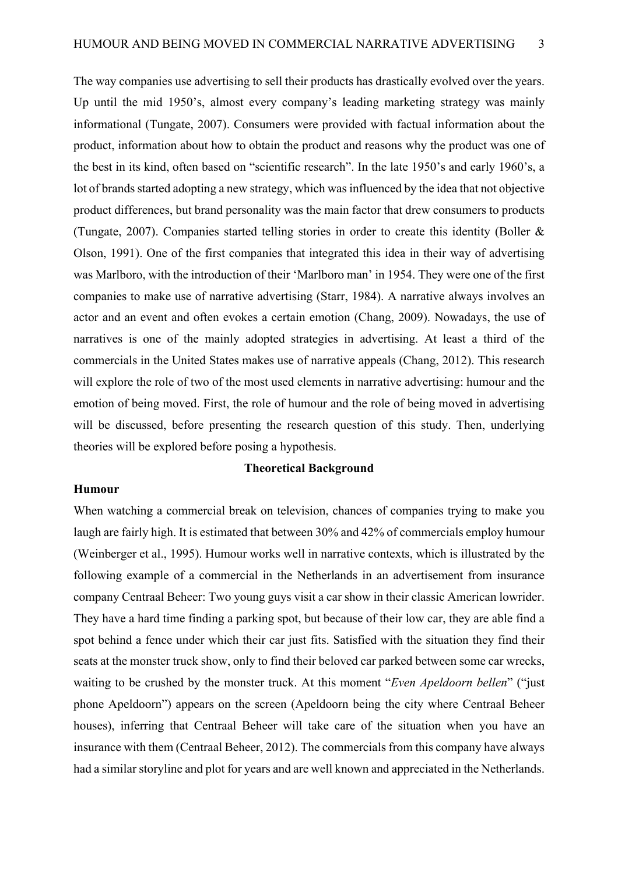The way companies use advertising to sell their products has drastically evolved over the years. Up until the mid 1950's, almost every company's leading marketing strategy was mainly informational (Tungate, 2007). Consumers were provided with factual information about the product, information about how to obtain the product and reasons why the product was one of the best in its kind, often based on "scientific research". In the late 1950's and early 1960's, a lot of brands started adopting a new strategy, which was influenced by the idea that not objective product differences, but brand personality was the main factor that drew consumers to products (Tungate, 2007). Companies started telling stories in order to create this identity (Boller & Olson, 1991). One of the first companies that integrated this idea in their way of advertising was Marlboro, with the introduction of their 'Marlboro man' in 1954. They were one of the first companies to make use of narrative advertising (Starr, 1984). A narrative always involves an actor and an event and often evokes a certain emotion (Chang, 2009). Nowadays, the use of narratives is one of the mainly adopted strategies in advertising. At least a third of the commercials in the United States makes use of narrative appeals (Chang, 2012). This research will explore the role of two of the most used elements in narrative advertising: humour and the emotion of being moved. First, the role of humour and the role of being moved in advertising will be discussed, before presenting the research question of this study. Then, underlying theories will be explored before posing a hypothesis.

#### **Theoretical Background**

#### **Humour**

When watching a commercial break on television, chances of companies trying to make you laugh are fairly high. It is estimated that between 30% and 42% of commercials employ humour (Weinberger et al., 1995). Humour works well in narrative contexts, which is illustrated by the following example of a commercial in the Netherlands in an advertisement from insurance company Centraal Beheer: Two young guys visit a car show in their classic American lowrider. They have a hard time finding a parking spot, but because of their low car, they are able find a spot behind a fence under which their car just fits. Satisfied with the situation they find their seats at the monster truck show, only to find their beloved car parked between some car wrecks, waiting to be crushed by the monster truck. At this moment "*Even Apeldoorn bellen*" ("just phone Apeldoorn") appears on the screen (Apeldoorn being the city where Centraal Beheer houses), inferring that Centraal Beheer will take care of the situation when you have an insurance with them (Centraal Beheer, 2012). The commercials from this company have always had a similar storyline and plot for years and are well known and appreciated in the Netherlands.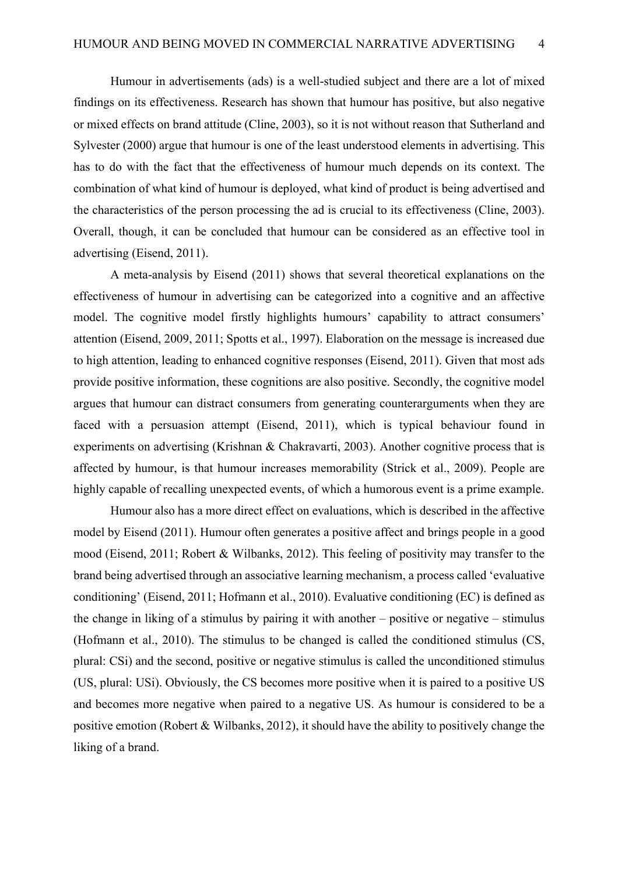Humour in advertisements (ads) is a well-studied subject and there are a lot of mixed findings on its effectiveness. Research has shown that humour has positive, but also negative or mixed effects on brand attitude (Cline, 2003), so it is not without reason that Sutherland and Sylvester (2000) argue that humour is one of the least understood elements in advertising. This has to do with the fact that the effectiveness of humour much depends on its context. The combination of what kind of humour is deployed, what kind of product is being advertised and the characteristics of the person processing the ad is crucial to its effectiveness (Cline, 2003). Overall, though, it can be concluded that humour can be considered as an effective tool in advertising (Eisend, 2011).

A meta-analysis by Eisend (2011) shows that several theoretical explanations on the effectiveness of humour in advertising can be categorized into a cognitive and an affective model. The cognitive model firstly highlights humours' capability to attract consumers' attention (Eisend, 2009, 2011; Spotts et al., 1997). Elaboration on the message is increased due to high attention, leading to enhanced cognitive responses (Eisend, 2011). Given that most ads provide positive information, these cognitions are also positive. Secondly, the cognitive model argues that humour can distract consumers from generating counterarguments when they are faced with a persuasion attempt (Eisend, 2011), which is typical behaviour found in experiments on advertising (Krishnan & Chakravarti, 2003). Another cognitive process that is affected by humour, is that humour increases memorability (Strick et al., 2009). People are highly capable of recalling unexpected events, of which a humorous event is a prime example.

Humour also has a more direct effect on evaluations, which is described in the affective model by Eisend (2011). Humour often generates a positive affect and brings people in a good mood (Eisend, 2011; Robert & Wilbanks, 2012). This feeling of positivity may transfer to the brand being advertised through an associative learning mechanism, a process called 'evaluative conditioning' (Eisend, 2011; Hofmann et al., 2010). Evaluative conditioning (EC) is defined as the change in liking of a stimulus by pairing it with another – positive or negative – stimulus (Hofmann et al., 2010). The stimulus to be changed is called the conditioned stimulus (CS, plural: CSi) and the second, positive or negative stimulus is called the unconditioned stimulus (US, plural: USi). Obviously, the CS becomes more positive when it is paired to a positive US and becomes more negative when paired to a negative US. As humour is considered to be a positive emotion (Robert & Wilbanks, 2012), it should have the ability to positively change the liking of a brand.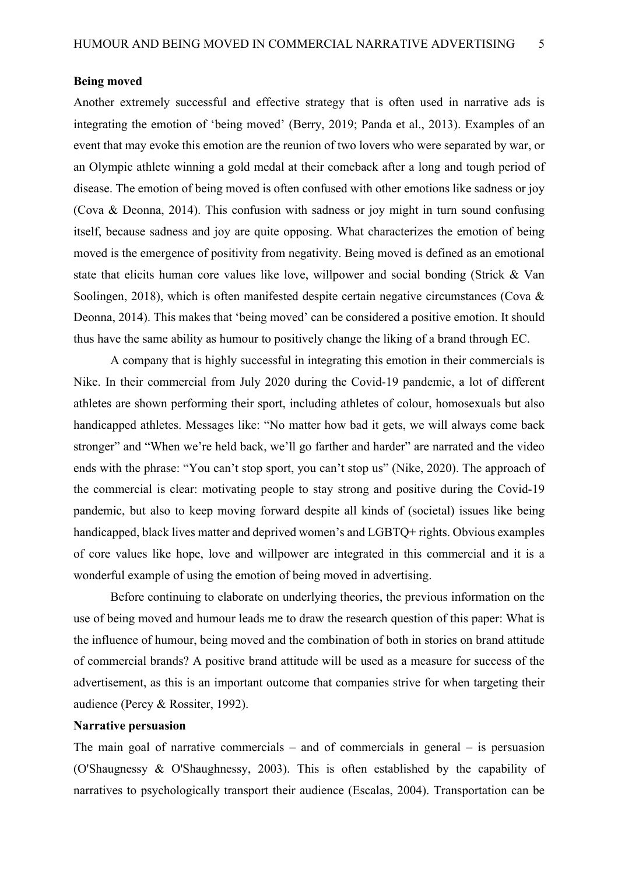#### **Being moved**

Another extremely successful and effective strategy that is often used in narrative ads is integrating the emotion of 'being moved' (Berry, 2019; Panda et al., 2013). Examples of an event that may evoke this emotion are the reunion of two lovers who were separated by war, or an Olympic athlete winning a gold medal at their comeback after a long and tough period of disease. The emotion of being moved is often confused with other emotions like sadness or joy (Cova & Deonna, 2014). This confusion with sadness or joy might in turn sound confusing itself, because sadness and joy are quite opposing. What characterizes the emotion of being moved is the emergence of positivity from negativity. Being moved is defined as an emotional state that elicits human core values like love, willpower and social bonding (Strick & Van Soolingen, 2018), which is often manifested despite certain negative circumstances (Cova & Deonna, 2014). This makes that 'being moved' can be considered a positive emotion. It should thus have the same ability as humour to positively change the liking of a brand through EC.

A company that is highly successful in integrating this emotion in their commercials is Nike. In their commercial from July 2020 during the Covid-19 pandemic, a lot of different athletes are shown performing their sport, including athletes of colour, homosexuals but also handicapped athletes. Messages like: "No matter how bad it gets, we will always come back stronger" and "When we're held back, we'll go farther and harder" are narrated and the video ends with the phrase: "You can't stop sport, you can't stop us" (Nike, 2020). The approach of the commercial is clear: motivating people to stay strong and positive during the Covid-19 pandemic, but also to keep moving forward despite all kinds of (societal) issues like being handicapped, black lives matter and deprived women's and LGBTQ+ rights. Obvious examples of core values like hope, love and willpower are integrated in this commercial and it is a wonderful example of using the emotion of being moved in advertising.

Before continuing to elaborate on underlying theories, the previous information on the use of being moved and humour leads me to draw the research question of this paper: What is the influence of humour, being moved and the combination of both in stories on brand attitude of commercial brands? A positive brand attitude will be used as a measure for success of the advertisement, as this is an important outcome that companies strive for when targeting their audience (Percy & Rossiter, 1992).

#### **Narrative persuasion**

The main goal of narrative commercials – and of commercials in general – is persuasion (O'Shaugnessy & O'Shaughnessy, 2003). This is often established by the capability of narratives to psychologically transport their audience (Escalas, 2004). Transportation can be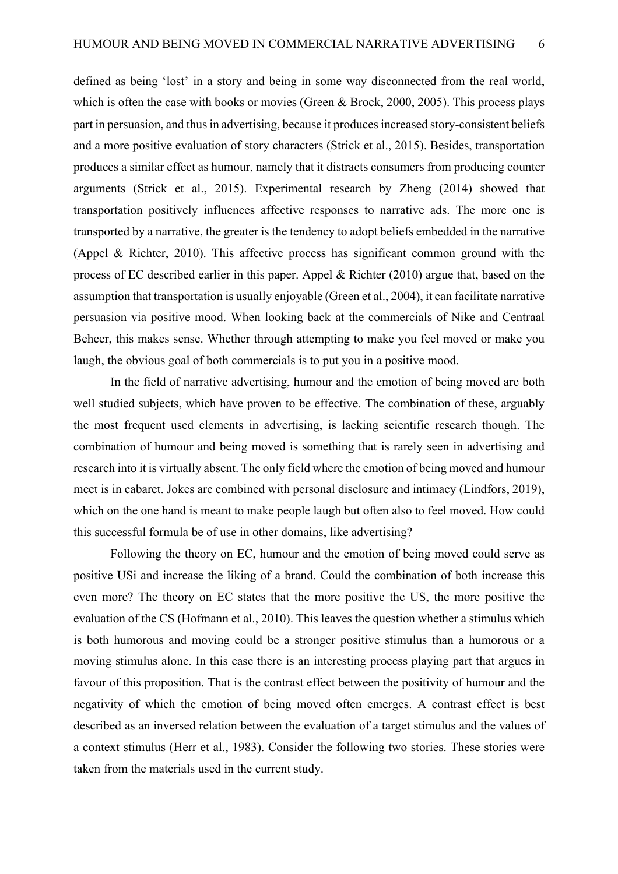defined as being 'lost' in a story and being in some way disconnected from the real world, which is often the case with books or movies (Green & Brock, 2000, 2005). This process plays part in persuasion, and thus in advertising, because it produces increased story-consistent beliefs and a more positive evaluation of story characters (Strick et al., 2015). Besides, transportation produces a similar effect as humour, namely that it distracts consumers from producing counter arguments (Strick et al., 2015). Experimental research by Zheng (2014) showed that transportation positively influences affective responses to narrative ads. The more one is transported by a narrative, the greater is the tendency to adopt beliefs embedded in the narrative (Appel & Richter, 2010). This affective process has significant common ground with the process of EC described earlier in this paper. Appel & Richter (2010) argue that, based on the assumption that transportation is usually enjoyable (Green et al., 2004), it can facilitate narrative persuasion via positive mood. When looking back at the commercials of Nike and Centraal Beheer, this makes sense. Whether through attempting to make you feel moved or make you laugh, the obvious goal of both commercials is to put you in a positive mood.

In the field of narrative advertising, humour and the emotion of being moved are both well studied subjects, which have proven to be effective. The combination of these, arguably the most frequent used elements in advertising, is lacking scientific research though. The combination of humour and being moved is something that is rarely seen in advertising and research into it is virtually absent. The only field where the emotion of being moved and humour meet is in cabaret. Jokes are combined with personal disclosure and intimacy (Lindfors, 2019), which on the one hand is meant to make people laugh but often also to feel moved. How could this successful formula be of use in other domains, like advertising?

Following the theory on EC, humour and the emotion of being moved could serve as positive USi and increase the liking of a brand. Could the combination of both increase this even more? The theory on EC states that the more positive the US, the more positive the evaluation of the CS (Hofmann et al., 2010). This leaves the question whether a stimulus which is both humorous and moving could be a stronger positive stimulus than a humorous or a moving stimulus alone. In this case there is an interesting process playing part that argues in favour of this proposition. That is the contrast effect between the positivity of humour and the negativity of which the emotion of being moved often emerges. A contrast effect is best described as an inversed relation between the evaluation of a target stimulus and the values of a context stimulus (Herr et al., 1983). Consider the following two stories. These stories were taken from the materials used in the current study.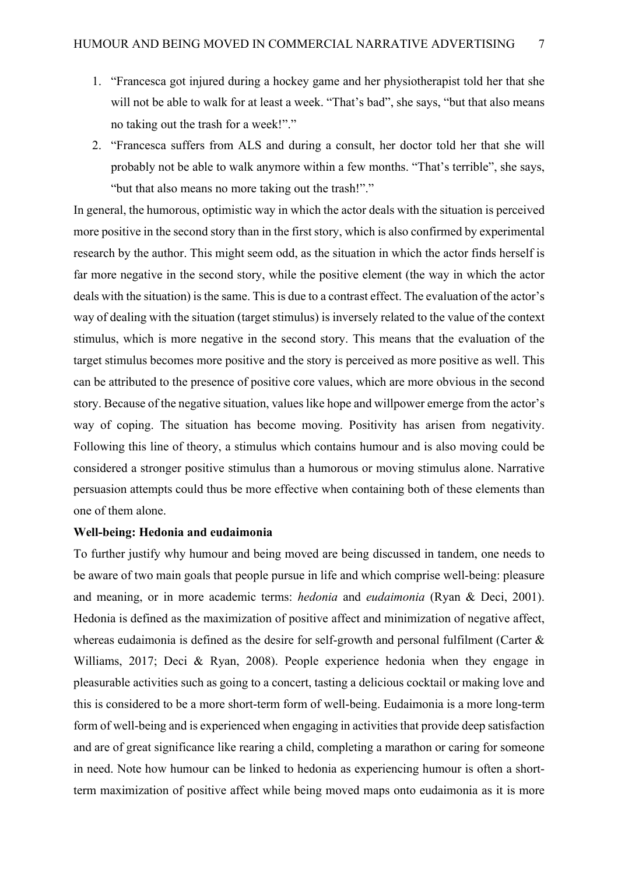- 1. "Francesca got injured during a hockey game and her physiotherapist told her that she will not be able to walk for at least a week. "That's bad", she says, "but that also means no taking out the trash for a week!"."
- 2. "Francesca suffers from ALS and during a consult, her doctor told her that she will probably not be able to walk anymore within a few months. "That's terrible", she says, "but that also means no more taking out the trash!"."

In general, the humorous, optimistic way in which the actor deals with the situation is perceived more positive in the second story than in the first story, which is also confirmed by experimental research by the author. This might seem odd, as the situation in which the actor finds herself is far more negative in the second story, while the positive element (the way in which the actor deals with the situation) is the same. This is due to a contrast effect. The evaluation of the actor's way of dealing with the situation (target stimulus) is inversely related to the value of the context stimulus, which is more negative in the second story. This means that the evaluation of the target stimulus becomes more positive and the story is perceived as more positive as well. This can be attributed to the presence of positive core values, which are more obvious in the second story. Because of the negative situation, values like hope and willpower emerge from the actor's way of coping. The situation has become moving. Positivity has arisen from negativity. Following this line of theory, a stimulus which contains humour and is also moving could be considered a stronger positive stimulus than a humorous or moving stimulus alone. Narrative persuasion attempts could thus be more effective when containing both of these elements than one of them alone.

#### **Well-being: Hedonia and eudaimonia**

To further justify why humour and being moved are being discussed in tandem, one needs to be aware of two main goals that people pursue in life and which comprise well-being: pleasure and meaning, or in more academic terms: *hedonia* and *eudaimonia* (Ryan & Deci, 2001). Hedonia is defined as the maximization of positive affect and minimization of negative affect, whereas eudaimonia is defined as the desire for self-growth and personal fulfilment (Carter & Williams, 2017; Deci & Ryan, 2008). People experience hedonia when they engage in pleasurable activities such as going to a concert, tasting a delicious cocktail or making love and this is considered to be a more short-term form of well-being. Eudaimonia is a more long-term form of well-being and is experienced when engaging in activities that provide deep satisfaction and are of great significance like rearing a child, completing a marathon or caring for someone in need. Note how humour can be linked to hedonia as experiencing humour is often a shortterm maximization of positive affect while being moved maps onto eudaimonia as it is more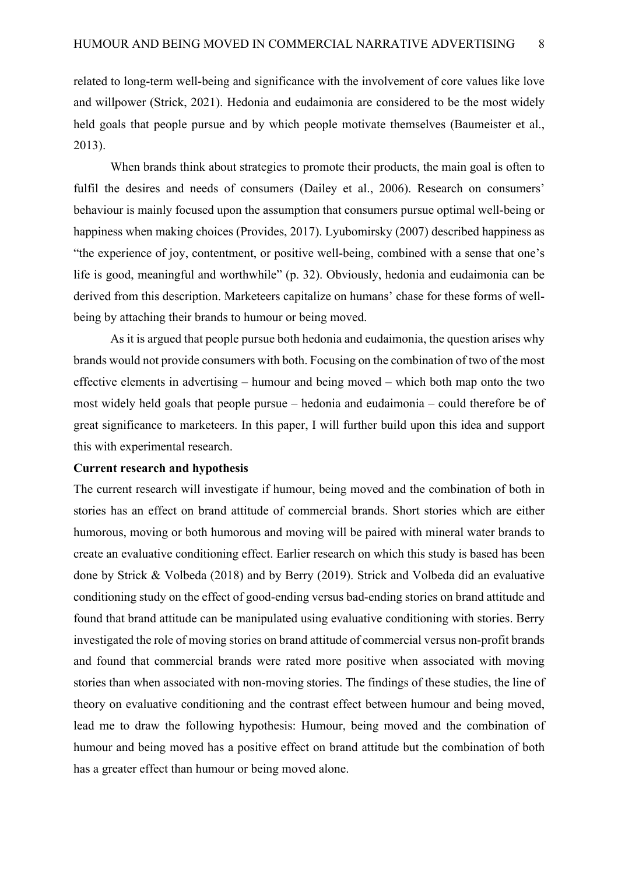related to long-term well-being and significance with the involvement of core values like love and willpower (Strick, 2021). Hedonia and eudaimonia are considered to be the most widely held goals that people pursue and by which people motivate themselves (Baumeister et al., 2013).

When brands think about strategies to promote their products, the main goal is often to fulfil the desires and needs of consumers (Dailey et al., 2006). Research on consumers' behaviour is mainly focused upon the assumption that consumers pursue optimal well-being or happiness when making choices (Provides, 2017). Lyubomirsky (2007) described happiness as "the experience of joy, contentment, or positive well-being, combined with a sense that one's life is good, meaningful and worthwhile" (p. 32). Obviously, hedonia and eudaimonia can be derived from this description. Marketeers capitalize on humans' chase for these forms of wellbeing by attaching their brands to humour or being moved.

As it is argued that people pursue both hedonia and eudaimonia, the question arises why brands would not provide consumers with both. Focusing on the combination of two of the most effective elements in advertising – humour and being moved – which both map onto the two most widely held goals that people pursue – hedonia and eudaimonia – could therefore be of great significance to marketeers. In this paper, I will further build upon this idea and support this with experimental research.

#### **Current research and hypothesis**

The current research will investigate if humour, being moved and the combination of both in stories has an effect on brand attitude of commercial brands. Short stories which are either humorous, moving or both humorous and moving will be paired with mineral water brands to create an evaluative conditioning effect. Earlier research on which this study is based has been done by Strick & Volbeda (2018) and by Berry (2019). Strick and Volbeda did an evaluative conditioning study on the effect of good-ending versus bad-ending stories on brand attitude and found that brand attitude can be manipulated using evaluative conditioning with stories. Berry investigated the role of moving stories on brand attitude of commercial versus non-profit brands and found that commercial brands were rated more positive when associated with moving stories than when associated with non-moving stories. The findings of these studies, the line of theory on evaluative conditioning and the contrast effect between humour and being moved, lead me to draw the following hypothesis: Humour, being moved and the combination of humour and being moved has a positive effect on brand attitude but the combination of both has a greater effect than humour or being moved alone.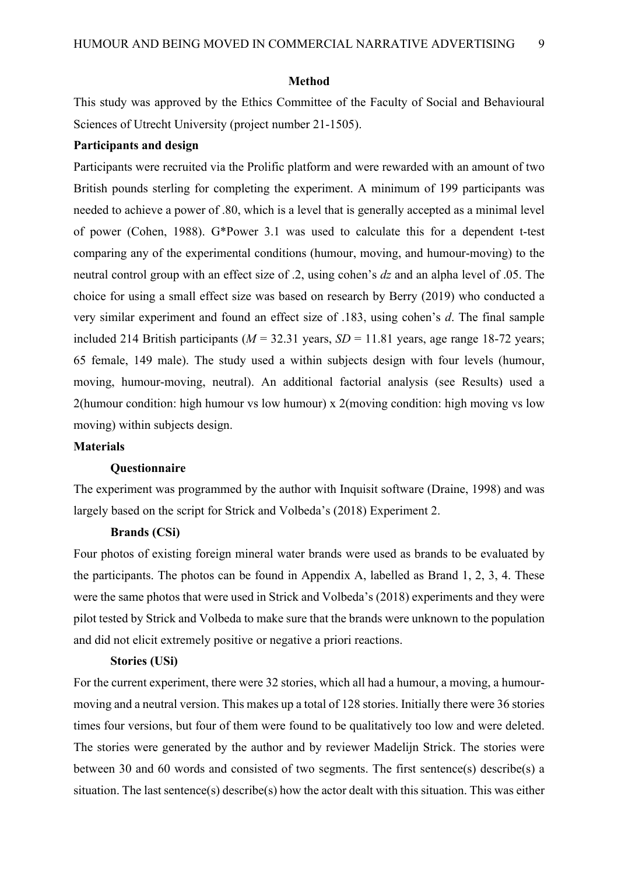#### **Method**

This study was approved by the Ethics Committee of the Faculty of Social and Behavioural Sciences of Utrecht University (project number 21-1505).

#### **Participants and design**

Participants were recruited via the Prolific platform and were rewarded with an amount of two British pounds sterling for completing the experiment. A minimum of 199 participants was needed to achieve a power of .80, which is a level that is generally accepted as a minimal level of power (Cohen, 1988). G\*Power 3.1 was used to calculate this for a dependent t-test comparing any of the experimental conditions (humour, moving, and humour-moving) to the neutral control group with an effect size of .2, using cohen's *dz* and an alpha level of .05. The choice for using a small effect size was based on research by Berry (2019) who conducted a very similar experiment and found an effect size of .183, using cohen's *d*. The final sample included 214 British participants ( $M = 32.31$  years,  $SD = 11.81$  years, age range 18-72 years; 65 female, 149 male). The study used a within subjects design with four levels (humour, moving, humour-moving, neutral). An additional factorial analysis (see Results) used a 2(humour condition: high humour vs low humour) x 2(moving condition: high moving vs low moving) within subjects design.

#### **Materials**

#### **Questionnaire**

The experiment was programmed by the author with Inquisit software (Draine, 1998) and was largely based on the script for Strick and Volbeda's (2018) Experiment 2.

#### **Brands (CSi)**

Four photos of existing foreign mineral water brands were used as brands to be evaluated by the participants. The photos can be found in Appendix A, labelled as Brand 1, 2, 3, 4. These were the same photos that were used in Strick and Volbeda's (2018) experiments and they were pilot tested by Strick and Volbeda to make sure that the brands were unknown to the population and did not elicit extremely positive or negative a priori reactions.

#### **Stories (USi)**

For the current experiment, there were 32 stories, which all had a humour, a moving, a humourmoving and a neutral version. This makes up a total of 128 stories. Initially there were 36 stories times four versions, but four of them were found to be qualitatively too low and were deleted. The stories were generated by the author and by reviewer Madelijn Strick. The stories were between 30 and 60 words and consisted of two segments. The first sentence(s) describe(s) a situation. The last sentence(s) describe(s) how the actor dealt with this situation. This was either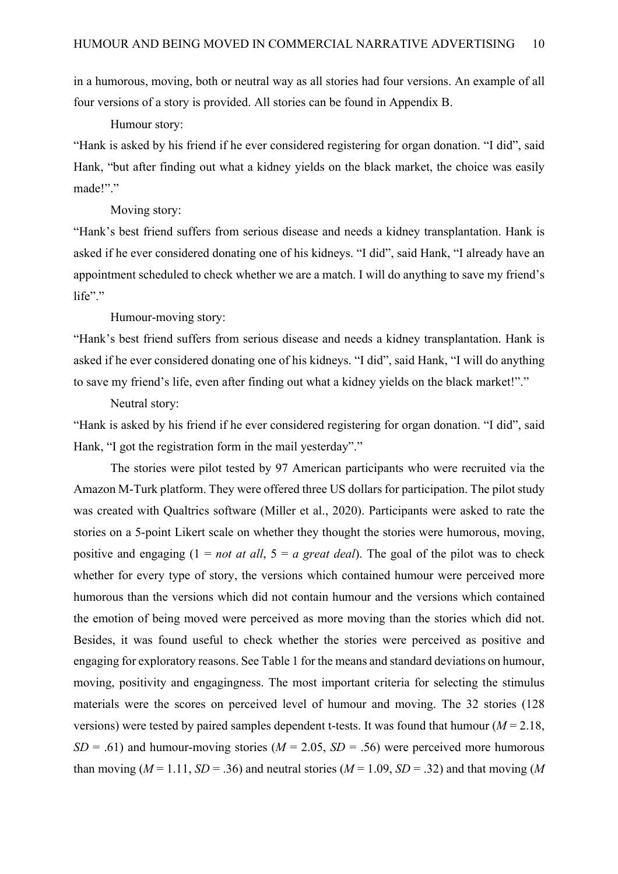in a humorous, moving, both or neutral way as all stories had four versions. An example of all four versions of a story is provided. All stories can be found in Appendix B.

Humour story:

"Hank is asked by his friend if he ever considered registering for organ donation. "I did", said Hank, "but after finding out what a kidney yields on the black market, the choice was easily made!"."

#### Moving story:

"Hank's best friend suffers from serious disease and needs a kidney transplantation. Hank is asked if he ever considered donating one of his kidneys. "I did", said Hank, "I already have an appointment scheduled to check whether we are a match. I will do anything to save my friend's life"."

Humour-moving story:

"Hank's best friend suffers from serious disease and needs a kidney transplantation. Hank is asked if he ever considered donating one of his kidneys. "I did", said Hank, "I will do anything to save my friend's life, even after finding out what a kidney yields on the black market!"."

#### Neutral story:

"Hank is asked by his friend if he ever considered registering for organ donation. "I did", said Hank, "I got the registration form in the mail yesterday"."

The stories were pilot tested by 97 American participants who were recruited via the Amazon M-Turk platform. They were offered three US dollars for participation. The pilot study was created with Qualtrics software (Miller et al., 2020). Participants were asked to rate the stories on a 5-point Likert scale on whether they thought the stories were humorous, moving, positive and engaging (1 = *not at all*, 5 = *a great deal*). The goal of the pilot was to check whether for every type of story, the versions which contained humour were perceived more humorous than the versions which did not contain humour and the versions which contained the emotion of being moved were perceived as more moving than the stories which did not. Besides, it was found useful to check whether the stories were perceived as positive and engaging for exploratory reasons. See Table 1 for the means and standard deviations on humour, moving, positivity and engagingness. The most important criteria for selecting the stimulus materials were the scores on perceived level of humour and moving. The 32 stories (128 versions) were tested by paired samples dependent t-tests. It was found that humour ( $M = 2.18$ , *SD* = .61) and humour-moving stories ( $M = 2.05$ ,  $SD = .56$ ) were perceived more humorous than moving ( $M = 1.11$ ,  $SD = 0.36$ ) and neutral stories ( $M = 1.09$ ,  $SD = 0.32$ ) and that moving (M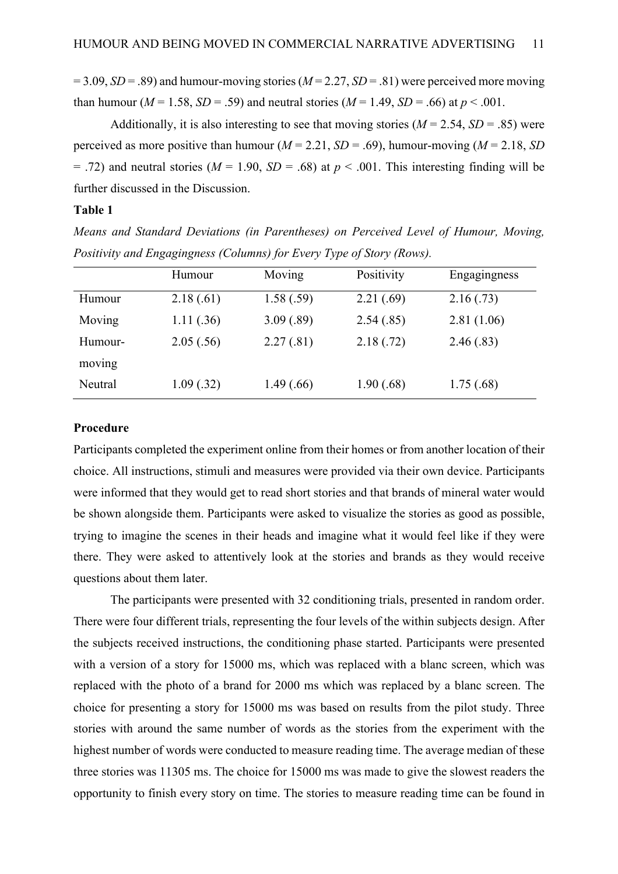$= 3.09, SD = .89$ ) and humour-moving stories ( $M = 2.27, SD = .81$ ) were perceived more moving than humour ( $M = 1.58$ ,  $SD = .59$ ) and neutral stories ( $M = 1.49$ ,  $SD = .66$ ) at  $p < .001$ .

Additionally, it is also interesting to see that moving stories  $(M = 2.54, SD = .85)$  were perceived as more positive than humour ( $M = 2.21$ ,  $SD = .69$ ), humour-moving ( $M = 2.18$ , *SD*)  $= .72$ ) and neutral stories ( $M = 1.90$ ,  $SD = .68$ ) at  $p < .001$ . This interesting finding will be further discussed in the Discussion.

#### **Table 1**

*Means and Standard Deviations (in Parentheses) on Perceived Level of Humour, Moving, Positivity and Engagingness (Columns) for Every Type of Story (Rows).*

|         | Humour    | Moving     | Positivity | Engagingness |
|---------|-----------|------------|------------|--------------|
| Humour  | 2.18(.61) | 1.58(.59)  | 2.21(.69)  | 2.16(0.73)   |
| Moving  | 1.11(.36) | 3.09(.89)  | 2.54(.85)  | 2.81(1.06)   |
| Humour- | 2.05(.56) | 2.27(.81)  | 2.18(.72)  | 2.46(.83)    |
| moving  |           |            |            |              |
| Neutral | 1.09(.32) | 1.49(0.66) | 1.90(.68)  | 1.75(.68)    |

### **Procedure**

Participants completed the experiment online from their homes or from another location of their choice. All instructions, stimuli and measures were provided via their own device. Participants were informed that they would get to read short stories and that brands of mineral water would be shown alongside them. Participants were asked to visualize the stories as good as possible, trying to imagine the scenes in their heads and imagine what it would feel like if they were there. They were asked to attentively look at the stories and brands as they would receive questions about them later.

The participants were presented with 32 conditioning trials, presented in random order. There were four different trials, representing the four levels of the within subjects design. After the subjects received instructions, the conditioning phase started. Participants were presented with a version of a story for 15000 ms, which was replaced with a blanc screen, which was replaced with the photo of a brand for 2000 ms which was replaced by a blanc screen. The choice for presenting a story for 15000 ms was based on results from the pilot study. Three stories with around the same number of words as the stories from the experiment with the highest number of words were conducted to measure reading time. The average median of these three stories was 11305 ms. The choice for 15000 ms was made to give the slowest readers the opportunity to finish every story on time. The stories to measure reading time can be found in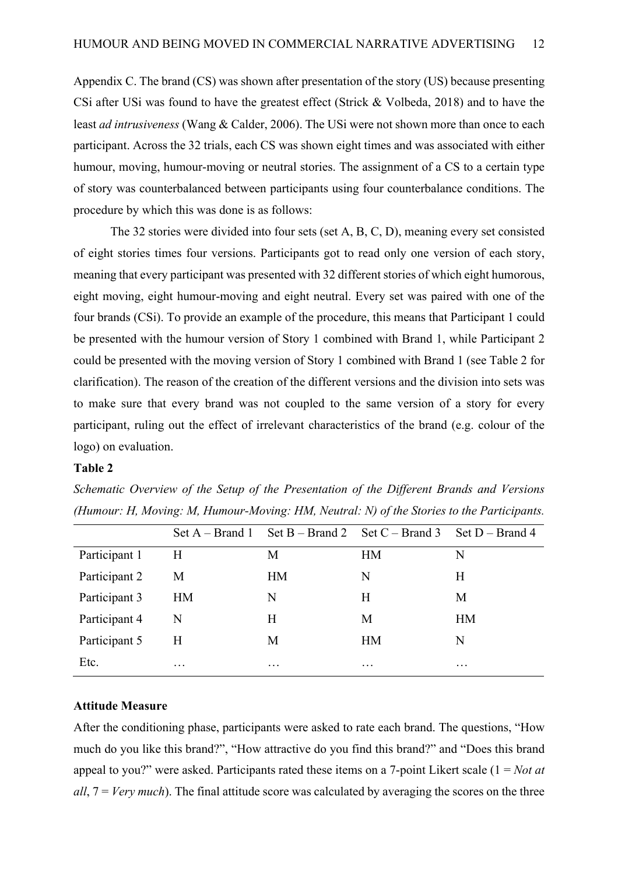Appendix C. The brand (CS) was shown after presentation of the story (US) because presenting CSi after USi was found to have the greatest effect (Strick & Volbeda, 2018) and to have the least *ad intrusiveness* (Wang & Calder, 2006). The USi were not shown more than once to each participant. Across the 32 trials, each CS was shown eight times and was associated with either humour, moving, humour-moving or neutral stories. The assignment of a CS to a certain type of story was counterbalanced between participants using four counterbalance conditions. The procedure by which this was done is as follows:

The 32 stories were divided into four sets (set A, B, C, D), meaning every set consisted of eight stories times four versions. Participants got to read only one version of each story, meaning that every participant was presented with 32 different stories of which eight humorous, eight moving, eight humour-moving and eight neutral. Every set was paired with one of the four brands (CSi). To provide an example of the procedure, this means that Participant 1 could be presented with the humour version of Story 1 combined with Brand 1, while Participant 2 could be presented with the moving version of Story 1 combined with Brand 1 (see Table 2 for clarification). The reason of the creation of the different versions and the division into sets was to make sure that every brand was not coupled to the same version of a story for every participant, ruling out the effect of irrelevant characteristics of the brand (e.g. colour of the logo) on evaluation.

#### **Table 2**

|               |           |           | Set A – Brand 1 Set B – Brand 2 Set C – Brand 3 Set D – Brand 4 |           |
|---------------|-----------|-----------|-----------------------------------------------------------------|-----------|
| Participant 1 | H         | М         | <b>HM</b>                                                       | N         |
| Participant 2 | M         | <b>HM</b> | N                                                               | Η         |
| Participant 3 | <b>HM</b> | N         | Н                                                               | М         |
| Participant 4 | N         | Н         | M                                                               | <b>HM</b> |
| Participant 5 | H         | M         | <b>HM</b>                                                       | N         |
| Etc.          | $\cdots$  | $\cdots$  | $\cdots$                                                        | $\cdots$  |

*Schematic Overview of the Setup of the Presentation of the Different Brands and Versions (Humour: H, Moving: M, Humour-Moving: HM, Neutral: N) of the Stories to the Participants.*

#### **Attitude Measure**

After the conditioning phase, participants were asked to rate each brand. The questions, "How much do you like this brand?", "How attractive do you find this brand?" and "Does this brand appeal to you?" were asked. Participants rated these items on a 7-point Likert scale (1 = *Not at all*, 7 = *Very much*). The final attitude score was calculated by averaging the scores on the three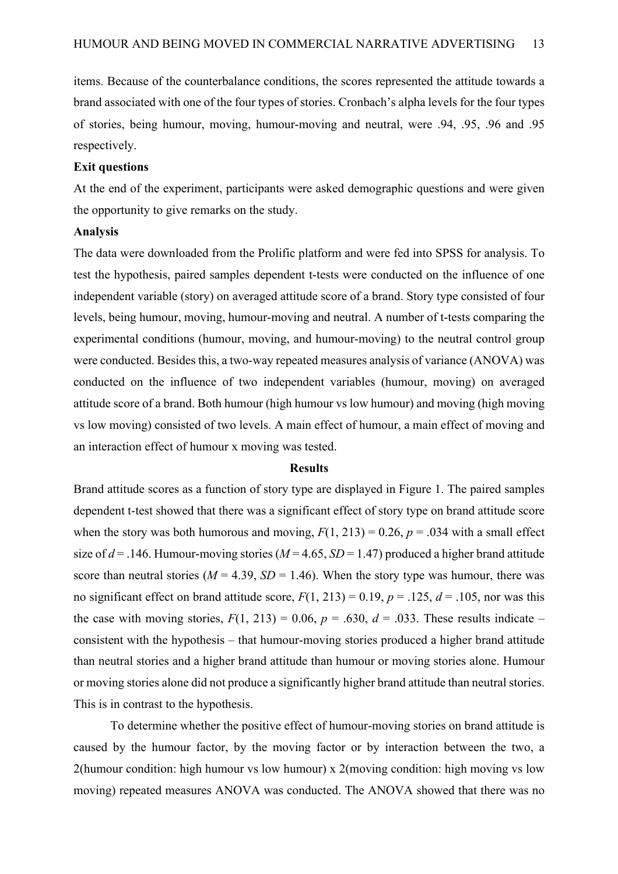items. Because of the counterbalance conditions, the scores represented the attitude towards a brand associated with one of the four types of stories. Cronbach's alpha levels for the four types of stories, being humour, moving, humour-moving and neutral, were .94, .95, .96 and .95 respectively.

#### **Exit questions**

At the end of the experiment, participants were asked demographic questions and were given the opportunity to give remarks on the study.

#### **Analysis**

The data were downloaded from the Prolific platform and were fed into SPSS for analysis. To test the hypothesis, paired samples dependent t-tests were conducted on the influence of one independent variable (story) on averaged attitude score of a brand. Story type consisted of four levels, being humour, moving, humour-moving and neutral. A number of t-tests comparing the experimental conditions (humour, moving, and humour-moving) to the neutral control group were conducted. Besides this, a two-way repeated measures analysis of variance (ANOVA) was conducted on the influence of two independent variables (humour, moving) on averaged attitude score of a brand. Both humour (high humour vs low humour) and moving (high moving vs low moving) consisted of two levels. A main effect of humour, a main effect of moving and an interaction effect of humour x moving was tested.

#### **Results**

Brand attitude scores as a function of story type are displayed in Figure 1. The paired samples dependent t-test showed that there was a significant effect of story type on brand attitude score when the story was both humorous and moving,  $F(1, 213) = 0.26$ ,  $p = .034$  with a small effect size of  $d = .146$ . Humour-moving stories ( $M = 4.65$ ,  $SD = 1.47$ ) produced a higher brand attitude score than neutral stories ( $M = 4.39$ ,  $SD = 1.46$ ). When the story type was humour, there was no significant effect on brand attitude score,  $F(1, 213) = 0.19$ ,  $p = .125$ ,  $d = .105$ , nor was this the case with moving stories,  $F(1, 213) = 0.06$ ,  $p = .630$ ,  $d = .033$ . These results indicate – consistent with the hypothesis – that humour-moving stories produced a higher brand attitude than neutral stories and a higher brand attitude than humour or moving stories alone. Humour or moving stories alone did not produce a significantly higher brand attitude than neutral stories. This is in contrast to the hypothesis.

To determine whether the positive effect of humour-moving stories on brand attitude is caused by the humour factor, by the moving factor or by interaction between the two, a 2(humour condition: high humour vs low humour) x 2(moving condition: high moving vs low moving) repeated measures ANOVA was conducted. The ANOVA showed that there was no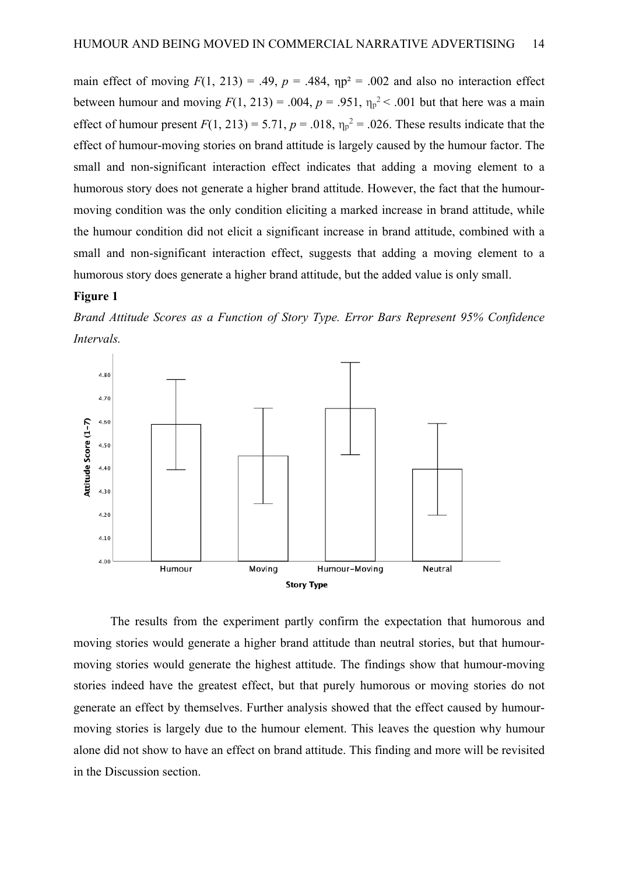main effect of moving  $F(1, 213) = .49$ ,  $p = .484$ ,  $np^2 = .002$  and also no interaction effect between humour and moving  $F(1, 213) = .004$ ,  $p = .951$ ,  $\eta_p^2 < .001$  but that here was a main effect of humour present  $F(1, 213) = 5.71$ ,  $p = .018$ ,  $\eta_p^2 = .026$ . These results indicate that the effect of humour-moving stories on brand attitude is largely caused by the humour factor. The small and non-significant interaction effect indicates that adding a moving element to a humorous story does not generate a higher brand attitude. However, the fact that the humourmoving condition was the only condition eliciting a marked increase in brand attitude, while the humour condition did not elicit a significant increase in brand attitude, combined with a small and non-significant interaction effect, suggests that adding a moving element to a humorous story does generate a higher brand attitude, but the added value is only small.

#### **Figure 1**

*Brand Attitude Scores as a Function of Story Type. Error Bars Represent 95% Confidence Intervals.*



The results from the experiment partly confirm the expectation that humorous and moving stories would generate a higher brand attitude than neutral stories, but that humourmoving stories would generate the highest attitude. The findings show that humour-moving stories indeed have the greatest effect, but that purely humorous or moving stories do not generate an effect by themselves. Further analysis showed that the effect caused by humourmoving stories is largely due to the humour element. This leaves the question why humour alone did not show to have an effect on brand attitude. This finding and more will be revisited in the Discussion section.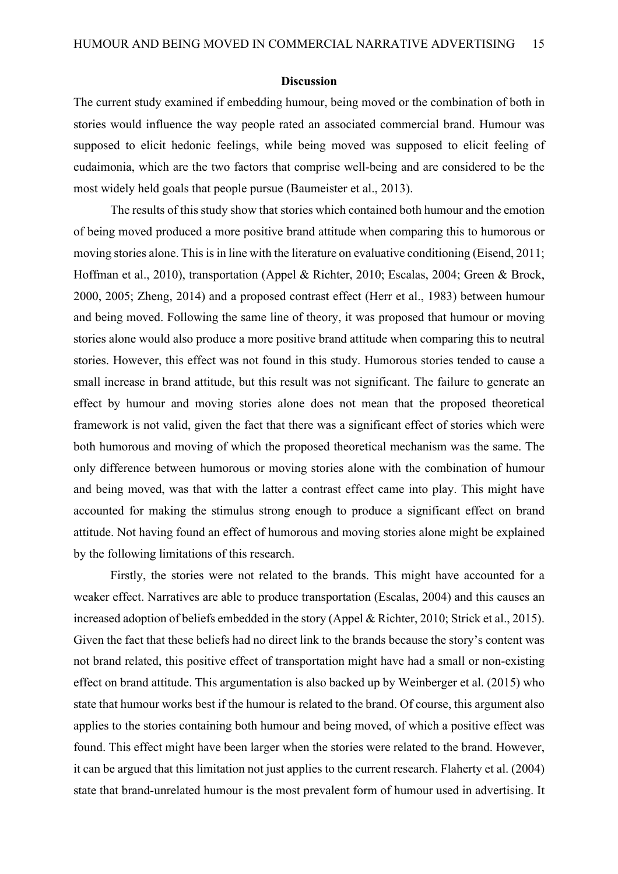#### **Discussion**

The current study examined if embedding humour, being moved or the combination of both in stories would influence the way people rated an associated commercial brand. Humour was supposed to elicit hedonic feelings, while being moved was supposed to elicit feeling of eudaimonia, which are the two factors that comprise well-being and are considered to be the most widely held goals that people pursue (Baumeister et al., 2013).

The results of this study show that stories which contained both humour and the emotion of being moved produced a more positive brand attitude when comparing this to humorous or moving stories alone. This is in line with the literature on evaluative conditioning (Eisend, 2011; Hoffman et al., 2010), transportation (Appel & Richter, 2010; Escalas, 2004; Green & Brock, 2000, 2005; Zheng, 2014) and a proposed contrast effect (Herr et al., 1983) between humour and being moved. Following the same line of theory, it was proposed that humour or moving stories alone would also produce a more positive brand attitude when comparing this to neutral stories. However, this effect was not found in this study. Humorous stories tended to cause a small increase in brand attitude, but this result was not significant. The failure to generate an effect by humour and moving stories alone does not mean that the proposed theoretical framework is not valid, given the fact that there was a significant effect of stories which were both humorous and moving of which the proposed theoretical mechanism was the same. The only difference between humorous or moving stories alone with the combination of humour and being moved, was that with the latter a contrast effect came into play. This might have accounted for making the stimulus strong enough to produce a significant effect on brand attitude. Not having found an effect of humorous and moving stories alone might be explained by the following limitations of this research.

Firstly, the stories were not related to the brands. This might have accounted for a weaker effect. Narratives are able to produce transportation (Escalas, 2004) and this causes an increased adoption of beliefs embedded in the story (Appel & Richter, 2010; Strick et al., 2015). Given the fact that these beliefs had no direct link to the brands because the story's content was not brand related, this positive effect of transportation might have had a small or non-existing effect on brand attitude. This argumentation is also backed up by Weinberger et al. (2015) who state that humour works best if the humour is related to the brand. Of course, this argument also applies to the stories containing both humour and being moved, of which a positive effect was found. This effect might have been larger when the stories were related to the brand. However, it can be argued that this limitation not just applies to the current research. Flaherty et al. (2004) state that brand-unrelated humour is the most prevalent form of humour used in advertising. It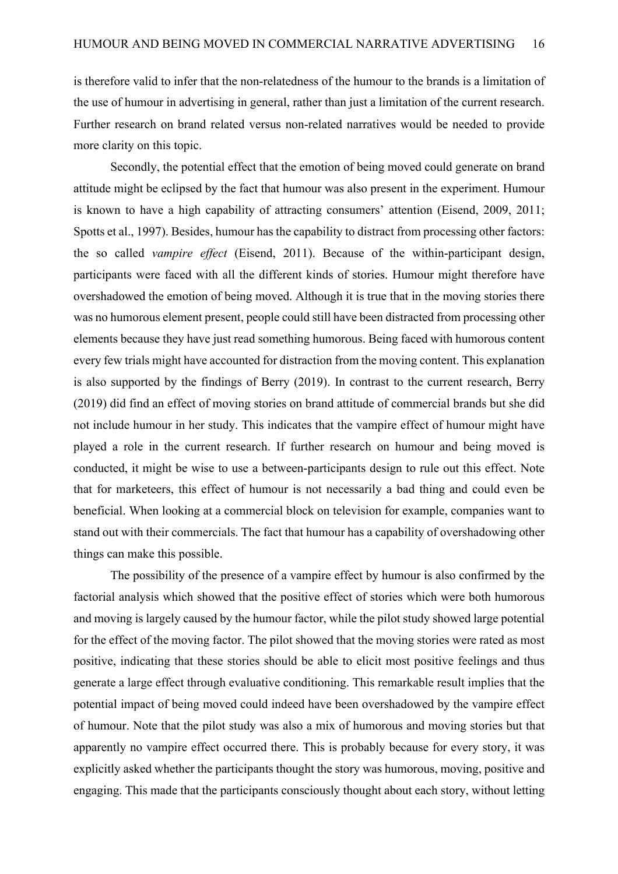is therefore valid to infer that the non-relatedness of the humour to the brands is a limitation of the use of humour in advertising in general, rather than just a limitation of the current research. Further research on brand related versus non-related narratives would be needed to provide more clarity on this topic.

Secondly, the potential effect that the emotion of being moved could generate on brand attitude might be eclipsed by the fact that humour was also present in the experiment. Humour is known to have a high capability of attracting consumers' attention (Eisend, 2009, 2011; Spotts et al., 1997). Besides, humour has the capability to distract from processing other factors: the so called *vampire effect* (Eisend, 2011). Because of the within-participant design, participants were faced with all the different kinds of stories. Humour might therefore have overshadowed the emotion of being moved. Although it is true that in the moving stories there was no humorous element present, people could still have been distracted from processing other elements because they have just read something humorous. Being faced with humorous content every few trials might have accounted for distraction from the moving content. This explanation is also supported by the findings of Berry (2019). In contrast to the current research, Berry (2019) did find an effect of moving stories on brand attitude of commercial brands but she did not include humour in her study. This indicates that the vampire effect of humour might have played a role in the current research. If further research on humour and being moved is conducted, it might be wise to use a between-participants design to rule out this effect. Note that for marketeers, this effect of humour is not necessarily a bad thing and could even be beneficial. When looking at a commercial block on television for example, companies want to stand out with their commercials. The fact that humour has a capability of overshadowing other things can make this possible.

The possibility of the presence of a vampire effect by humour is also confirmed by the factorial analysis which showed that the positive effect of stories which were both humorous and moving is largely caused by the humour factor, while the pilot study showed large potential for the effect of the moving factor. The pilot showed that the moving stories were rated as most positive, indicating that these stories should be able to elicit most positive feelings and thus generate a large effect through evaluative conditioning. This remarkable result implies that the potential impact of being moved could indeed have been overshadowed by the vampire effect of humour. Note that the pilot study was also a mix of humorous and moving stories but that apparently no vampire effect occurred there. This is probably because for every story, it was explicitly asked whether the participants thought the story was humorous, moving, positive and engaging. This made that the participants consciously thought about each story, without letting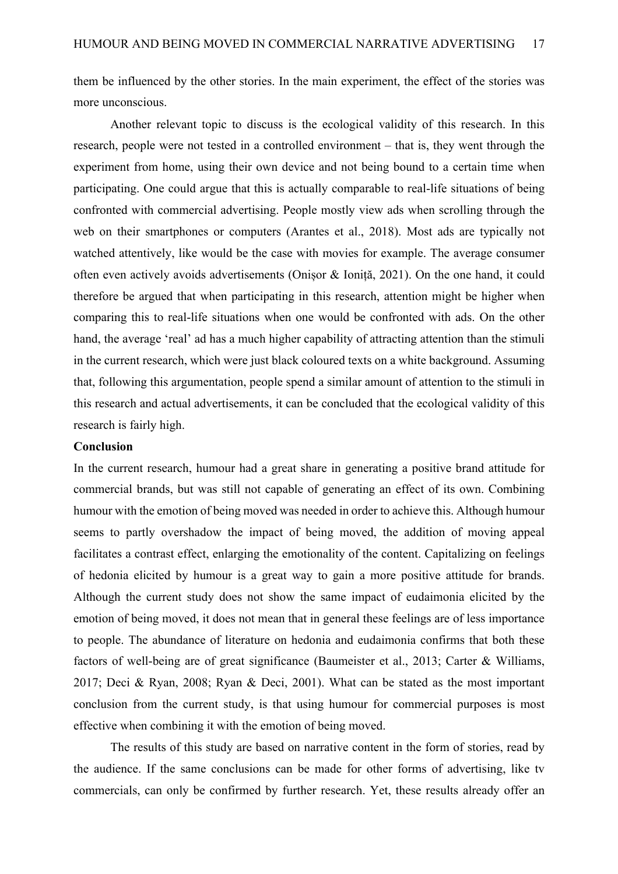them be influenced by the other stories. In the main experiment, the effect of the stories was more unconscious.

Another relevant topic to discuss is the ecological validity of this research. In this research, people were not tested in a controlled environment – that is, they went through the experiment from home, using their own device and not being bound to a certain time when participating. One could argue that this is actually comparable to real-life situations of being confronted with commercial advertising. People mostly view ads when scrolling through the web on their smartphones or computers (Arantes et al., 2018). Most ads are typically not watched attentively, like would be the case with movies for example. The average consumer often even actively avoids advertisements (Onișor & Ioniță, 2021). On the one hand, it could therefore be argued that when participating in this research, attention might be higher when comparing this to real-life situations when one would be confronted with ads. On the other hand, the average 'real' ad has a much higher capability of attracting attention than the stimuli in the current research, which were just black coloured texts on a white background. Assuming that, following this argumentation, people spend a similar amount of attention to the stimuli in this research and actual advertisements, it can be concluded that the ecological validity of this research is fairly high.

#### **Conclusion**

In the current research, humour had a great share in generating a positive brand attitude for commercial brands, but was still not capable of generating an effect of its own. Combining humour with the emotion of being moved was needed in order to achieve this. Although humour seems to partly overshadow the impact of being moved, the addition of moving appeal facilitates a contrast effect, enlarging the emotionality of the content. Capitalizing on feelings of hedonia elicited by humour is a great way to gain a more positive attitude for brands. Although the current study does not show the same impact of eudaimonia elicited by the emotion of being moved, it does not mean that in general these feelings are of less importance to people. The abundance of literature on hedonia and eudaimonia confirms that both these factors of well-being are of great significance (Baumeister et al., 2013; Carter & Williams, 2017; Deci & Ryan, 2008; Ryan & Deci, 2001). What can be stated as the most important conclusion from the current study, is that using humour for commercial purposes is most effective when combining it with the emotion of being moved.

The results of this study are based on narrative content in the form of stories, read by the audience. If the same conclusions can be made for other forms of advertising, like tv commercials, can only be confirmed by further research. Yet, these results already offer an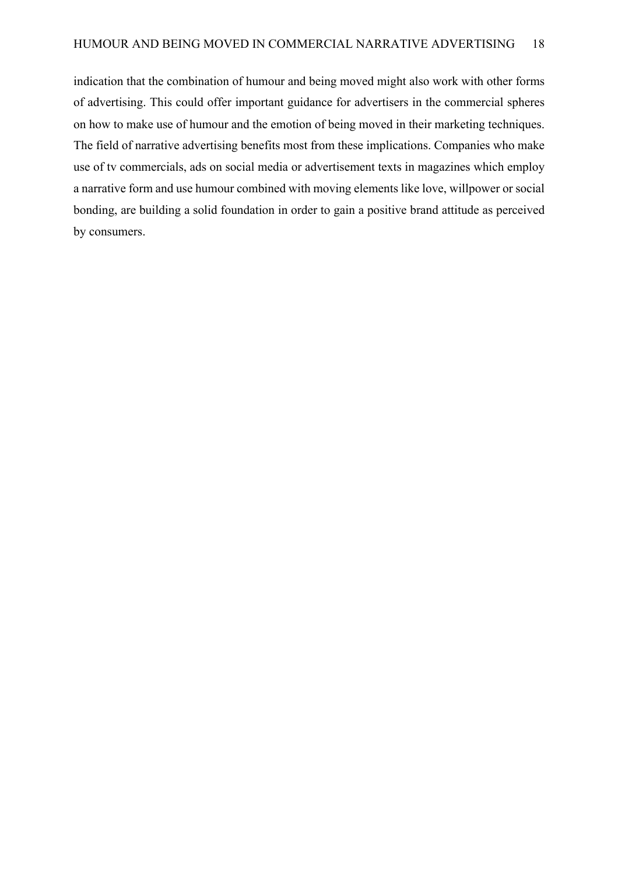indication that the combination of humour and being moved might also work with other forms of advertising. This could offer important guidance for advertisers in the commercial spheres on how to make use of humour and the emotion of being moved in their marketing techniques. The field of narrative advertising benefits most from these implications. Companies who make use of tv commercials, ads on social media or advertisement texts in magazines which employ a narrative form and use humour combined with moving elements like love, willpower or social bonding, are building a solid foundation in order to gain a positive brand attitude as perceived by consumers.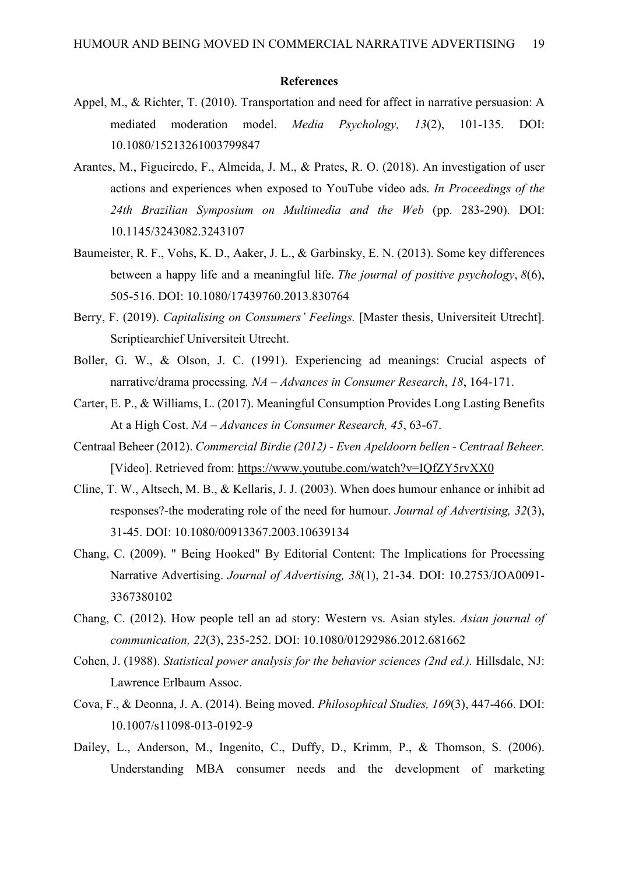#### **References**

- Appel, M., & Richter, T. (2010). Transportation and need for affect in narrative persuasion: A mediated moderation model. *Media Psychology, 13*(2), 101-135. DOI: 10.1080/15213261003799847
- Arantes, M., Figueiredo, F., Almeida, J. M., & Prates, R. O. (2018). An investigation of user actions and experiences when exposed to YouTube video ads. *In Proceedings of the 24th Brazilian Symposium on Multimedia and the Web* (pp. 283-290). DOI: 10.1145/3243082.3243107
- Baumeister, R. F., Vohs, K. D., Aaker, J. L., & Garbinsky, E. N. (2013). Some key differences between a happy life and a meaningful life. *The journal of positive psychology*, *8*(6), 505-516. DOI: 10.1080/17439760.2013.830764
- Berry, F. (2019). *Capitalising on Consumers' Feelings*. [Master thesis, Universiteit Utrecht]. Scriptiearchief Universiteit Utrecht.
- Boller, G. W., & Olson, J. C. (1991). Experiencing ad meanings: Crucial aspects of narrative/drama processing*. NA – Advances in Consumer Research*, *18*, 164-171.
- Carter, E. P., & Williams, L. (2017). Meaningful Consumption Provides Long Lasting Benefits At a High Cost. *NA – Advances in Consumer Research, 45*, 63-67.
- Centraal Beheer (2012). *Commercial Birdie (2012) - Even Apeldoorn bellen - Centraal Beheer.* [Video]. Retrieved from: https://www.youtube.com/watch?v=IQfZY5rvXX0
- Cline, T. W., Altsech, M. B., & Kellaris, J. J. (2003). When does humour enhance or inhibit ad responses?-the moderating role of the need for humour. *Journal of Advertising, 32*(3), 31-45. DOI: 10.1080/00913367.2003.10639134
- Chang, C. (2009). " Being Hooked" By Editorial Content: The Implications for Processing Narrative Advertising. *Journal of Advertising, 38*(1), 21-34. DOI: 10.2753/JOA0091- 3367380102
- Chang, C. (2012). How people tell an ad story: Western vs. Asian styles. *Asian journal of communication, 22*(3), 235-252. DOI: 10.1080/01292986.2012.681662
- Cohen, J. (1988). *Statistical power analysis for the behavior sciences (2nd ed.).* Hillsdale, NJ: Lawrence Erlbaum Assoc.
- Cova, F., & Deonna, J. A. (2014). Being moved. *Philosophical Studies, 169*(3), 447-466. DOI: 10.1007/s11098-013-0192-9
- Dailey, L., Anderson, M., Ingenito, C., Duffy, D., Krimm, P., & Thomson, S. (2006). Understanding MBA consumer needs and the development of marketing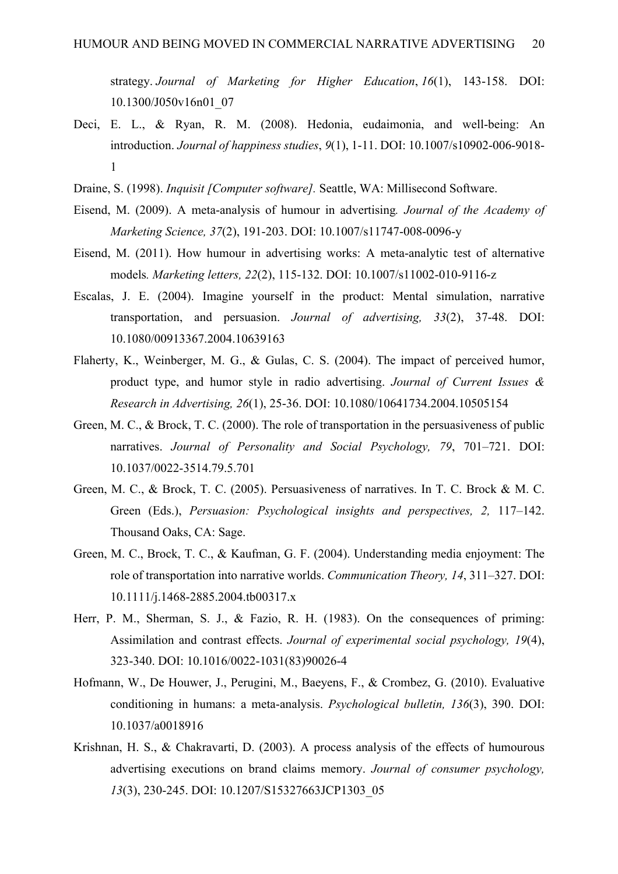strategy. *Journal of Marketing for Higher Education*, *16*(1), 143-158. DOI: 10.1300/J050v16n01\_07

- Deci, E. L., & Ryan, R. M. (2008). Hedonia, eudaimonia, and well-being: An introduction. *Journal of happiness studies*, *9*(1), 1-11. DOI: 10.1007/s10902-006-9018- 1
- Draine, S. (1998). *Inquisit [Computer software].* Seattle, WA: Millisecond Software.
- Eisend, M. (2009). A meta-analysis of humour in advertising*. Journal of the Academy of Marketing Science, 37*(2), 191-203. DOI: 10.1007/s11747-008-0096-y
- Eisend, M. (2011). How humour in advertising works: A meta-analytic test of alternative models*. Marketing letters, 22*(2), 115-132. DOI: 10.1007/s11002-010-9116-z
- Escalas, J. E. (2004). Imagine yourself in the product: Mental simulation, narrative transportation, and persuasion. *Journal of advertising, 33*(2), 37-48. DOI: 10.1080/00913367.2004.10639163
- Flaherty, K., Weinberger, M. G., & Gulas, C. S. (2004). The impact of perceived humor, product type, and humor style in radio advertising. *Journal of Current Issues & Research in Advertising, 26*(1), 25-36. DOI: 10.1080/10641734.2004.10505154
- Green, M. C., & Brock, T. C. (2000). The role of transportation in the persuasiveness of public narratives. *Journal of Personality and Social Psychology, 79*, 701–721. DOI: 10.1037/0022-3514.79.5.701
- Green, M. C., & Brock, T. C. (2005). Persuasiveness of narratives. In T. C. Brock & M. C. Green (Eds.), *Persuasion: Psychological insights and perspectives, 2,* 117–142. Thousand Oaks, CA: Sage.
- Green, M. C., Brock, T. C., & Kaufman, G. F. (2004). Understanding media enjoyment: The role of transportation into narrative worlds. *Communication Theory, 14*, 311–327. DOI: 10.1111/j.1468-2885.2004.tb00317.x
- Herr, P. M., Sherman, S. J., & Fazio, R. H. (1983). On the consequences of priming: Assimilation and contrast effects. *Journal of experimental social psychology, 19*(4), 323-340. DOI: 10.1016/0022-1031(83)90026-4
- Hofmann, W., De Houwer, J., Perugini, M., Baeyens, F., & Crombez, G. (2010). Evaluative conditioning in humans: a meta-analysis. *Psychological bulletin, 136*(3), 390. DOI: 10.1037/a0018916
- Krishnan, H. S., & Chakravarti, D. (2003). A process analysis of the effects of humourous advertising executions on brand claims memory. *Journal of consumer psychology, 13*(3), 230-245. DOI: 10.1207/S15327663JCP1303\_05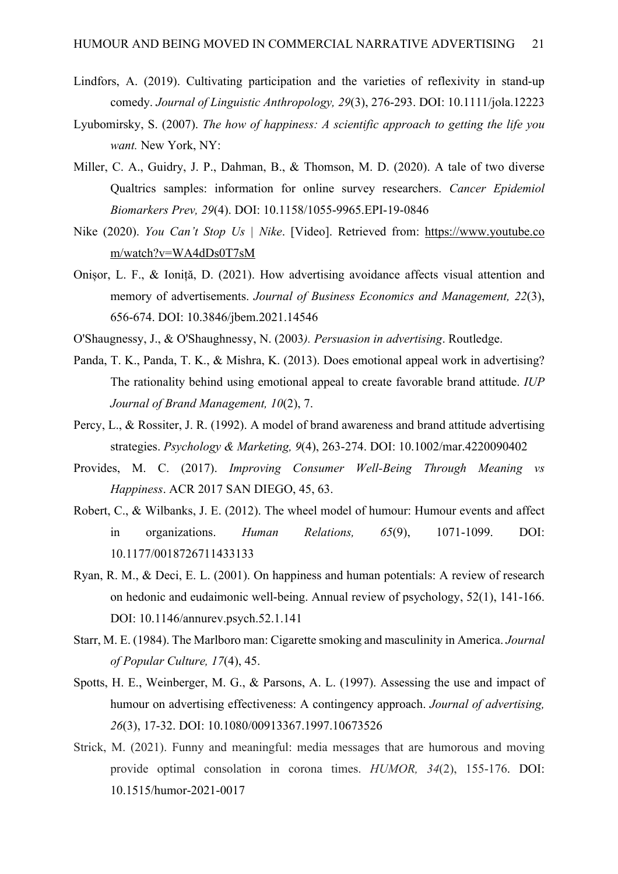- Lindfors, A. (2019). Cultivating participation and the varieties of reflexivity in stand‐up comedy. *Journal of Linguistic Anthropology, 29*(3), 276-293. DOI: 10.1111/jola.12223
- Lyubomirsky, S. (2007). *The how of happiness: A scientific approach to getting the life you want.* New York, NY:
- Miller, C. A., Guidry, J. P., Dahman, B., & Thomson, M. D. (2020). A tale of two diverse Qualtrics samples: information for online survey researchers. *Cancer Epidemiol Biomarkers Prev, 29*(4). DOI: 10.1158/1055-9965.EPI-19-0846
- Nike (2020). *You Can't Stop Us | Nike*. [Video]. Retrieved from: https://www.youtube.co m/watch?v=WA4dDs0T7sM
- Onișor, L. F., & Ioniță, D. (2021). How advertising avoidance affects visual attention and memory of advertisements. *Journal of Business Economics and Management, 22*(3), 656-674. DOI: 10.3846/jbem.2021.14546
- O'Shaugnessy, J., & O'Shaughnessy, N. (2003*). Persuasion in advertising*. Routledge.
- Panda, T. K., Panda, T. K., & Mishra, K. (2013). Does emotional appeal work in advertising? The rationality behind using emotional appeal to create favorable brand attitude. *IUP Journal of Brand Management, 10*(2), 7.
- Percy, L., & Rossiter, J. R. (1992). A model of brand awareness and brand attitude advertising strategies. *Psychology & Marketing, 9*(4), 263-274. DOI: 10.1002/mar.4220090402
- Provides, M. C. (2017). *Improving Consumer Well-Being Through Meaning vs Happiness*. ACR 2017 SAN DIEGO, 45, 63.
- Robert, C., & Wilbanks, J. E. (2012). The wheel model of humour: Humour events and affect in organizations. *Human Relations, 65*(9), 1071-1099. DOI: 10.1177/0018726711433133
- Ryan, R. M., & Deci, E. L. (2001). On happiness and human potentials: A review of research on hedonic and eudaimonic well-being. Annual review of psychology, 52(1), 141-166. DOI: 10.1146/annurev.psych.52.1.141
- Starr, M. E. (1984). The Marlboro man: Cigarette smoking and masculinity in America. *Journal of Popular Culture, 17*(4), 45.
- Spotts, H. E., Weinberger, M. G., & Parsons, A. L. (1997). Assessing the use and impact of humour on advertising effectiveness: A contingency approach. *Journal of advertising, 26*(3), 17-32. DOI: 10.1080/00913367.1997.10673526
- Strick, M. (2021). Funny and meaningful: media messages that are humorous and moving provide optimal consolation in corona times. *HUMOR, 34*(2), 155-176. DOI: 10.1515/humor-2021-0017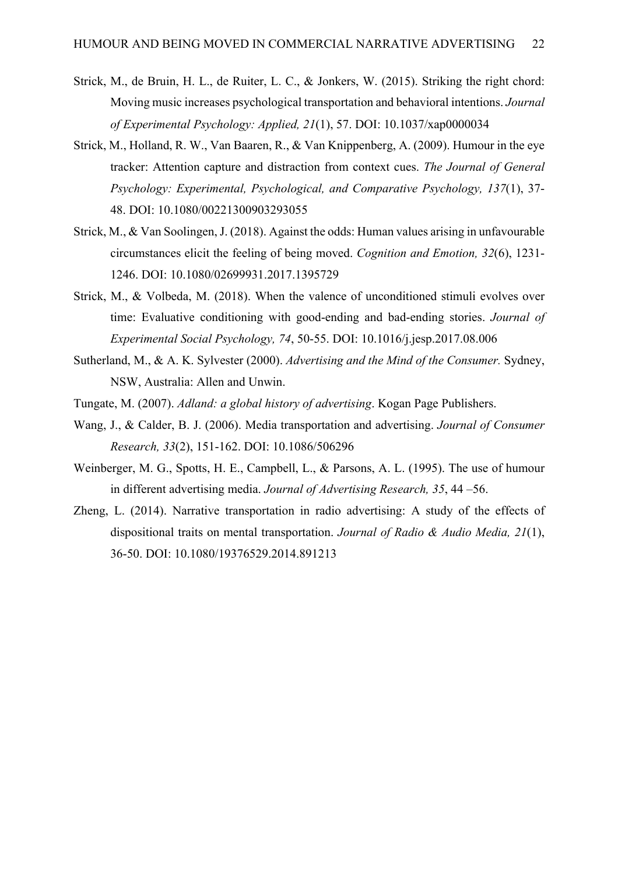- Strick, M., de Bruin, H. L., de Ruiter, L. C., & Jonkers, W. (2015). Striking the right chord: Moving music increases psychological transportation and behavioral intentions. *Journal of Experimental Psychology: Applied, 21*(1), 57. DOI: 10.1037/xap0000034
- Strick, M., Holland, R. W., Van Baaren, R., & Van Knippenberg, A. (2009). Humour in the eye tracker: Attention capture and distraction from context cues. *The Journal of General Psychology: Experimental, Psychological, and Comparative Psychology, 137*(1), 37- 48. DOI: 10.1080/00221300903293055
- Strick, M., & Van Soolingen, J. (2018). Against the odds: Human values arising in unfavourable circumstances elicit the feeling of being moved. *Cognition and Emotion, 32*(6), 1231- 1246. DOI: 10.1080/02699931.2017.1395729
- Strick, M., & Volbeda, M. (2018). When the valence of unconditioned stimuli evolves over time: Evaluative conditioning with good-ending and bad-ending stories. *Journal of Experimental Social Psychology, 74*, 50-55. DOI: 10.1016/j.jesp.2017.08.006
- Sutherland, M., & A. K. Sylvester (2000). *Advertising and the Mind of the Consumer.* Sydney, NSW, Australia: Allen and Unwin.
- Tungate, M. (2007). *Adland: a global history of advertising*. Kogan Page Publishers.
- Wang, J., & Calder, B. J. (2006). Media transportation and advertising. *Journal of Consumer Research, 33*(2), 151-162. DOI: 10.1086/506296
- Weinberger, M. G., Spotts, H. E., Campbell, L., & Parsons, A. L. (1995). The use of humour in different advertising media. *Journal of Advertising Research, 35*, 44 –56.
- Zheng, L. (2014). Narrative transportation in radio advertising: A study of the effects of dispositional traits on mental transportation. *Journal of Radio & Audio Media, 21*(1), 36-50. DOI: 10.1080/19376529.2014.891213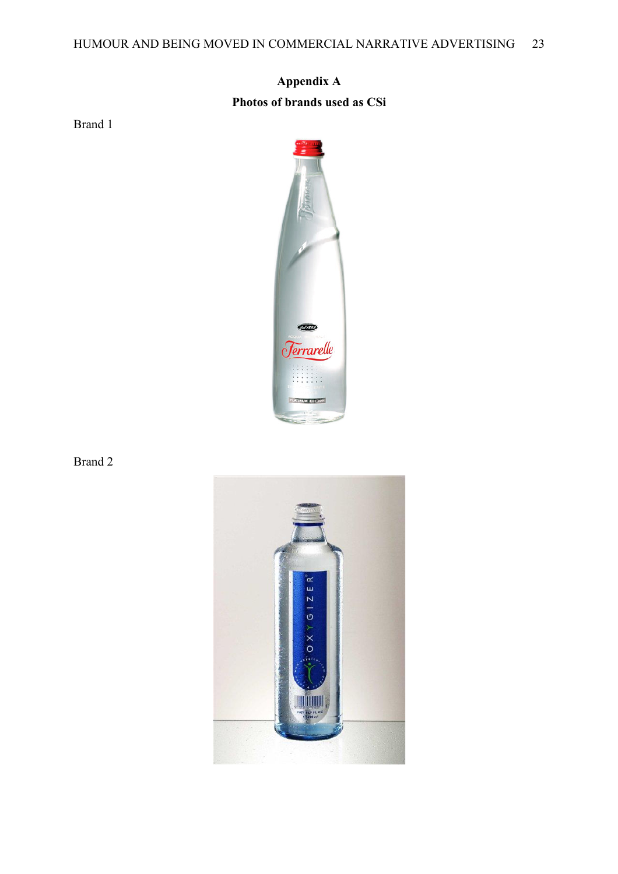# **Appendix A Photos of brands used as CSi**

Brand 1



Brand 2

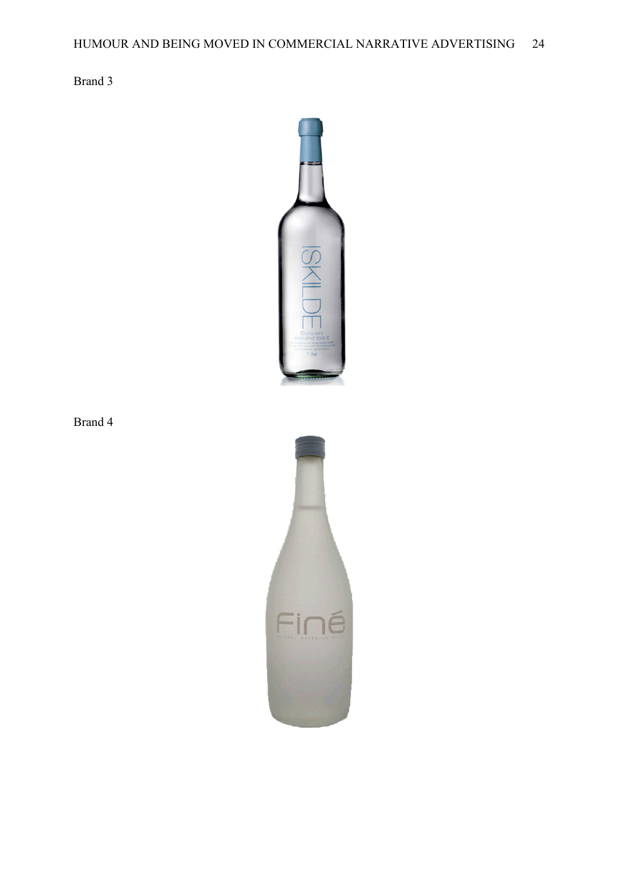Brand 3



Brand 4

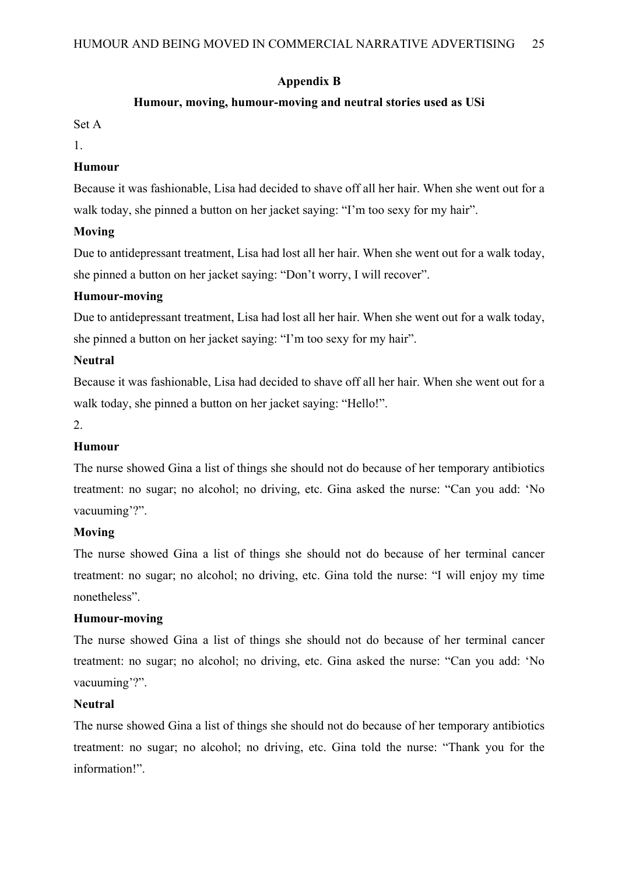## **Appendix B**

## **Humour, moving, humour-moving and neutral stories used as USi**

Set A

1.

## **Humour**

Because it was fashionable, Lisa had decided to shave off all her hair. When she went out for a walk today, she pinned a button on her jacket saying: "I'm too sexy for my hair".

## **Moving**

Due to antidepressant treatment, Lisa had lost all her hair. When she went out for a walk today, she pinned a button on her jacket saying: "Don't worry, I will recover".

## **Humour-moving**

Due to antidepressant treatment, Lisa had lost all her hair. When she went out for a walk today, she pinned a button on her jacket saying: "I'm too sexy for my hair".

## **Neutral**

Because it was fashionable, Lisa had decided to shave off all her hair. When she went out for a walk today, she pinned a button on her jacket saying: "Hello!".

## 2.

## **Humour**

The nurse showed Gina a list of things she should not do because of her temporary antibiotics treatment: no sugar; no alcohol; no driving, etc. Gina asked the nurse: "Can you add: 'No vacuuming'?".

## **Moving**

The nurse showed Gina a list of things she should not do because of her terminal cancer treatment: no sugar; no alcohol; no driving, etc. Gina told the nurse: "I will enjoy my time nonetheless".

## **Humour-moving**

The nurse showed Gina a list of things she should not do because of her terminal cancer treatment: no sugar; no alcohol; no driving, etc. Gina asked the nurse: "Can you add: 'No vacuuming'?".

## **Neutral**

The nurse showed Gina a list of things she should not do because of her temporary antibiotics treatment: no sugar; no alcohol; no driving, etc. Gina told the nurse: "Thank you for the information!".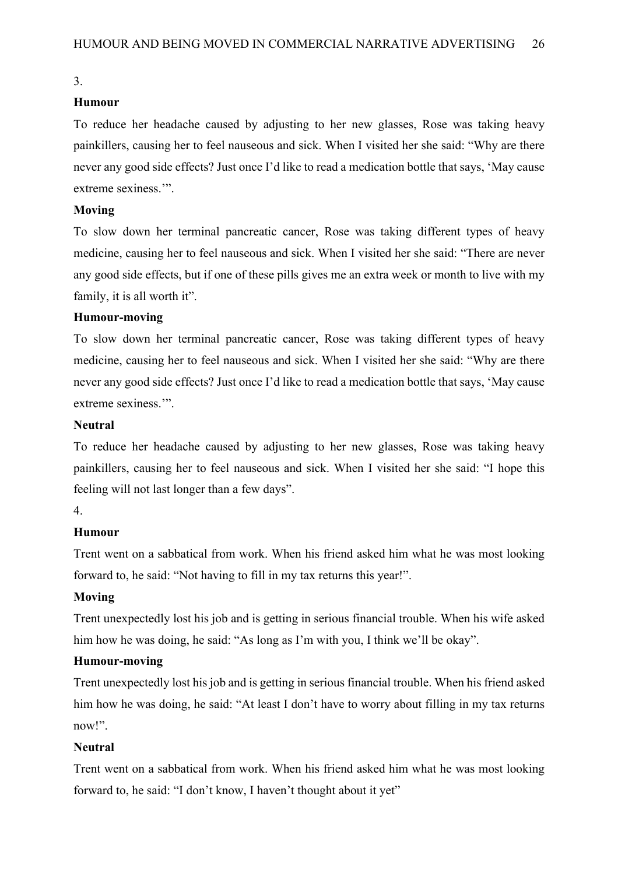## **Humour**

To reduce her headache caused by adjusting to her new glasses, Rose was taking heavy painkillers, causing her to feel nauseous and sick. When I visited her she said: "Why are there never any good side effects? Just once I'd like to read a medication bottle that says, 'May cause extreme sexiness.'".

#### **Moving**

To slow down her terminal pancreatic cancer, Rose was taking different types of heavy medicine, causing her to feel nauseous and sick. When I visited her she said: "There are never any good side effects, but if one of these pills gives me an extra week or month to live with my family, it is all worth it".

#### **Humour-moving**

To slow down her terminal pancreatic cancer, Rose was taking different types of heavy medicine, causing her to feel nauseous and sick. When I visited her she said: "Why are there never any good side effects? Just once I'd like to read a medication bottle that says, 'May cause extreme sexiness.'".

#### **Neutral**

To reduce her headache caused by adjusting to her new glasses, Rose was taking heavy painkillers, causing her to feel nauseous and sick. When I visited her she said: "I hope this feeling will not last longer than a few days".

## 4.

#### **Humour**

Trent went on a sabbatical from work. When his friend asked him what he was most looking forward to, he said: "Not having to fill in my tax returns this year!".

#### **Moving**

Trent unexpectedly lost his job and is getting in serious financial trouble. When his wife asked him how he was doing, he said: "As long as I'm with you, I think we'll be okay".

### **Humour-moving**

Trent unexpectedly lost his job and is getting in serious financial trouble. When his friend asked him how he was doing, he said: "At least I don't have to worry about filling in my tax returns now!".

#### **Neutral**

Trent went on a sabbatical from work. When his friend asked him what he was most looking forward to, he said: "I don't know, I haven't thought about it yet"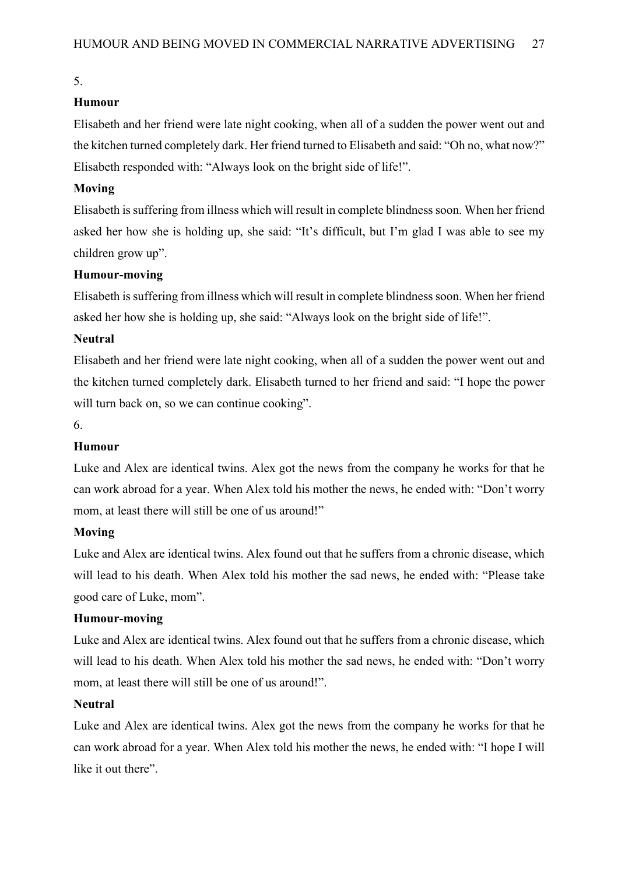## **Humour**

Elisabeth and her friend were late night cooking, when all of a sudden the power went out and the kitchen turned completely dark. Her friend turned to Elisabeth and said: "Oh no, what now?" Elisabeth responded with: "Always look on the bright side of life!".

### **Moving**

Elisabeth is suffering from illness which will result in complete blindness soon. When her friend asked her how she is holding up, she said: "It's difficult, but I'm glad I was able to see my children grow up".

## **Humour-moving**

Elisabeth is suffering from illness which will result in complete blindness soon. When her friend asked her how she is holding up, she said: "Always look on the bright side of life!".

## **Neutral**

Elisabeth and her friend were late night cooking, when all of a sudden the power went out and the kitchen turned completely dark. Elisabeth turned to her friend and said: "I hope the power will turn back on, so we can continue cooking".

6.

## **Humour**

Luke and Alex are identical twins. Alex got the news from the company he works for that he can work abroad for a year. When Alex told his mother the news, he ended with: "Don't worry mom, at least there will still be one of us around!"

### **Moving**

Luke and Alex are identical twins. Alex found out that he suffers from a chronic disease, which will lead to his death. When Alex told his mother the sad news, he ended with: "Please take good care of Luke, mom".

### **Humour-moving**

Luke and Alex are identical twins. Alex found out that he suffers from a chronic disease, which will lead to his death. When Alex told his mother the sad news, he ended with: "Don't worry mom, at least there will still be one of us around!".

### **Neutral**

Luke and Alex are identical twins. Alex got the news from the company he works for that he can work abroad for a year. When Alex told his mother the news, he ended with: "I hope I will like it out there".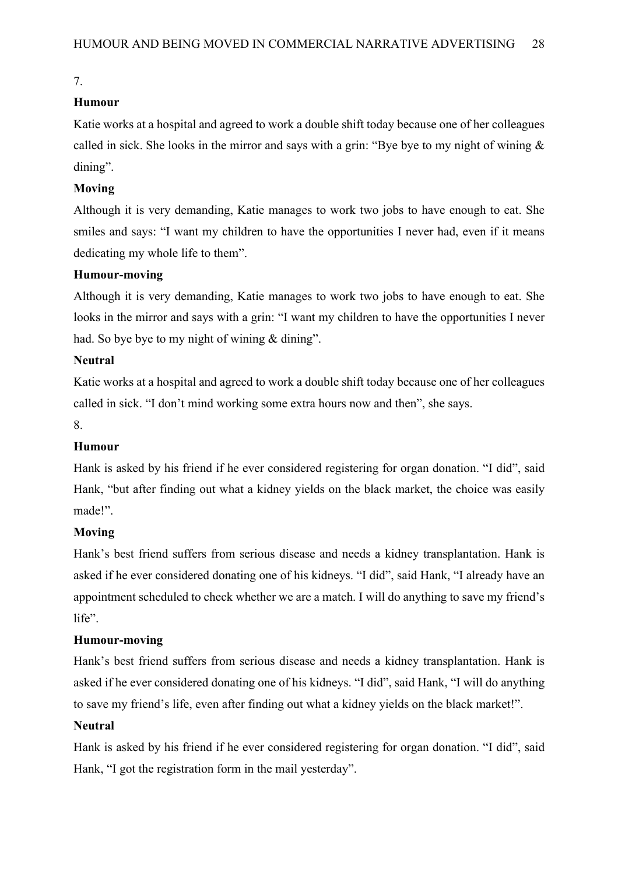## **Humour**

Katie works at a hospital and agreed to work a double shift today because one of her colleagues called in sick. She looks in the mirror and says with a grin: "Bye bye to my night of wining  $\&$ dining".

## **Moving**

Although it is very demanding, Katie manages to work two jobs to have enough to eat. She smiles and says: "I want my children to have the opportunities I never had, even if it means dedicating my whole life to them".

## **Humour-moving**

Although it is very demanding, Katie manages to work two jobs to have enough to eat. She looks in the mirror and says with a grin: "I want my children to have the opportunities I never had. So bye bye to my night of wining & dining".

## **Neutral**

Katie works at a hospital and agreed to work a double shift today because one of her colleagues called in sick. "I don't mind working some extra hours now and then", she says.

## 8.

## **Humour**

Hank is asked by his friend if he ever considered registering for organ donation. "I did", said Hank, "but after finding out what a kidney yields on the black market, the choice was easily made!".

## **Moving**

Hank's best friend suffers from serious disease and needs a kidney transplantation. Hank is asked if he ever considered donating one of his kidneys. "I did", said Hank, "I already have an appointment scheduled to check whether we are a match. I will do anything to save my friend's life".

## **Humour-moving**

Hank's best friend suffers from serious disease and needs a kidney transplantation. Hank is asked if he ever considered donating one of his kidneys. "I did", said Hank, "I will do anything to save my friend's life, even after finding out what a kidney yields on the black market!".

## **Neutral**

Hank is asked by his friend if he ever considered registering for organ donation. "I did", said Hank, "I got the registration form in the mail yesterday".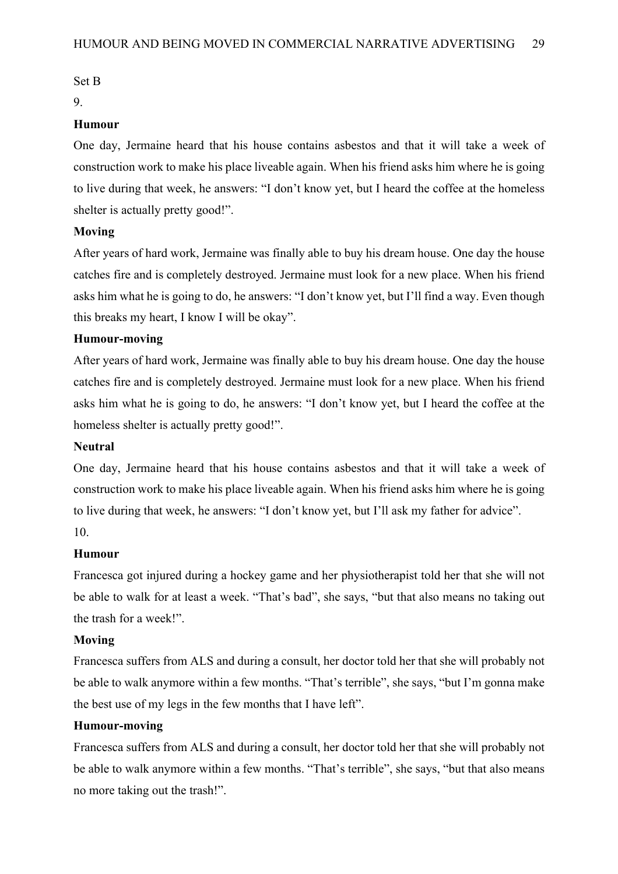### Set B

### 9.

## **Humour**

One day, Jermaine heard that his house contains asbestos and that it will take a week of construction work to make his place liveable again. When his friend asks him where he is going to live during that week, he answers: "I don't know yet, but I heard the coffee at the homeless shelter is actually pretty good!".

## **Moving**

After years of hard work, Jermaine was finally able to buy his dream house. One day the house catches fire and is completely destroyed. Jermaine must look for a new place. When his friend asks him what he is going to do, he answers: "I don't know yet, but I'll find a way. Even though this breaks my heart, I know I will be okay".

## **Humour-moving**

After years of hard work, Jermaine was finally able to buy his dream house. One day the house catches fire and is completely destroyed. Jermaine must look for a new place. When his friend asks him what he is going to do, he answers: "I don't know yet, but I heard the coffee at the homeless shelter is actually pretty good!".

## **Neutral**

One day, Jermaine heard that his house contains asbestos and that it will take a week of construction work to make his place liveable again. When his friend asks him where he is going to live during that week, he answers: "I don't know yet, but I'll ask my father for advice". 10.

### **Humour**

Francesca got injured during a hockey game and her physiotherapist told her that she will not be able to walk for at least a week. "That's bad", she says, "but that also means no taking out the trash for a week!".

### **Moving**

Francesca suffers from ALS and during a consult, her doctor told her that she will probably not be able to walk anymore within a few months. "That's terrible", she says, "but I'm gonna make the best use of my legs in the few months that I have left".

## **Humour-moving**

Francesca suffers from ALS and during a consult, her doctor told her that she will probably not be able to walk anymore within a few months. "That's terrible", she says, "but that also means no more taking out the trash!".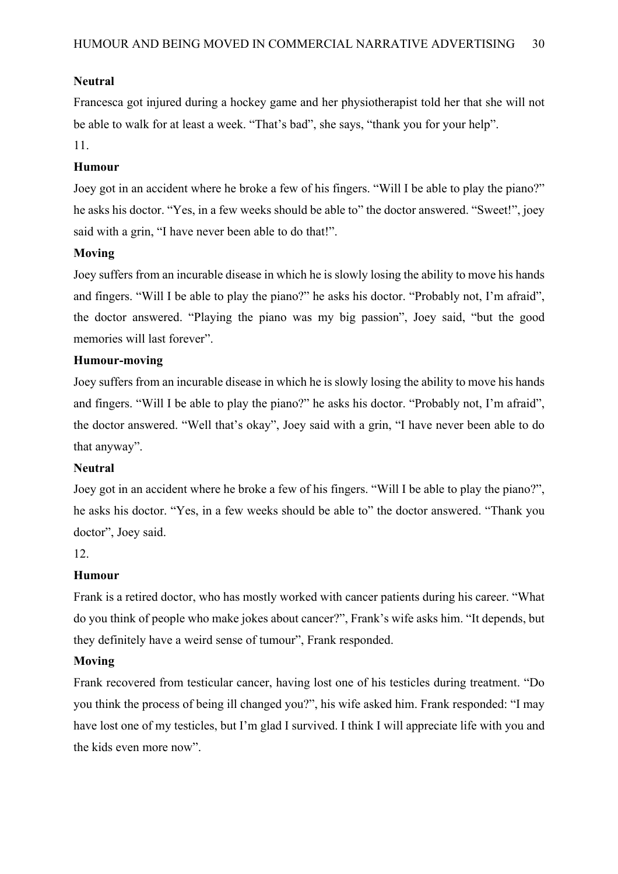## **Neutral**

Francesca got injured during a hockey game and her physiotherapist told her that she will not be able to walk for at least a week. "That's bad", she says, "thank you for your help".

## 11.

## **Humour**

Joey got in an accident where he broke a few of his fingers. "Will I be able to play the piano?" he asks his doctor. "Yes, in a few weeks should be able to" the doctor answered. "Sweet!", joey said with a grin, "I have never been able to do that!".

## **Moving**

Joey suffers from an incurable disease in which he is slowly losing the ability to move his hands and fingers. "Will I be able to play the piano?" he asks his doctor. "Probably not, I'm afraid", the doctor answered. "Playing the piano was my big passion", Joey said, "but the good memories will last forever".

## **Humour-moving**

Joey suffers from an incurable disease in which he is slowly losing the ability to move his hands and fingers. "Will I be able to play the piano?" he asks his doctor. "Probably not, I'm afraid", the doctor answered. "Well that's okay", Joey said with a grin, "I have never been able to do that anyway".

### **Neutral**

Joey got in an accident where he broke a few of his fingers. "Will I be able to play the piano?", he asks his doctor. "Yes, in a few weeks should be able to" the doctor answered. "Thank you doctor", Joey said.

12.

## **Humour**

Frank is a retired doctor, who has mostly worked with cancer patients during his career. "What do you think of people who make jokes about cancer?", Frank's wife asks him. "It depends, but they definitely have a weird sense of tumour", Frank responded.

### **Moving**

Frank recovered from testicular cancer, having lost one of his testicles during treatment. "Do you think the process of being ill changed you?", his wife asked him. Frank responded: "I may have lost one of my testicles, but I'm glad I survived. I think I will appreciate life with you and the kids even more now".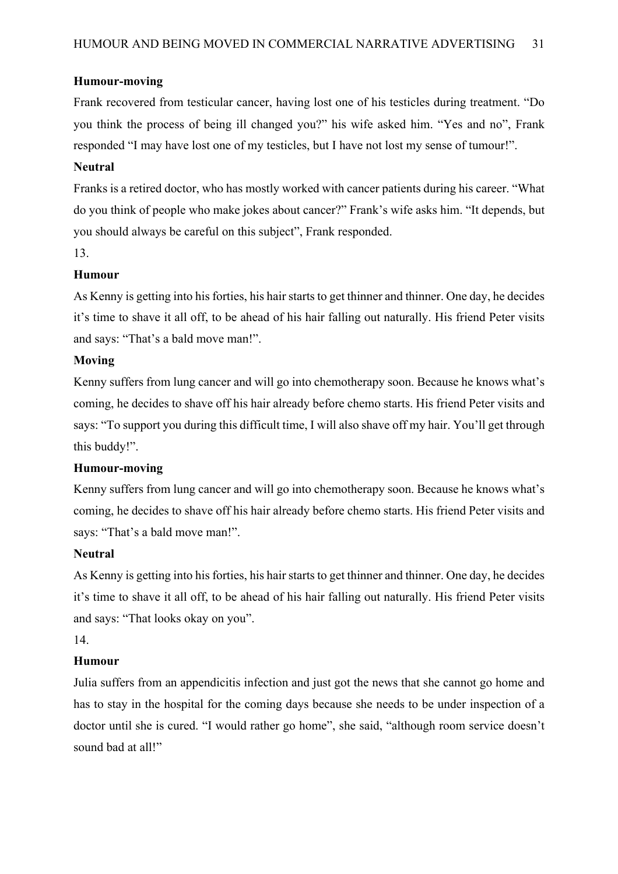### **Humour-moving**

Frank recovered from testicular cancer, having lost one of his testicles during treatment. "Do you think the process of being ill changed you?" his wife asked him. "Yes and no", Frank responded "I may have lost one of my testicles, but I have not lost my sense of tumour!".

### **Neutral**

Franks is a retired doctor, who has mostly worked with cancer patients during his career. "What do you think of people who make jokes about cancer?" Frank's wife asks him. "It depends, but you should always be careful on this subject", Frank responded.

13.

### **Humour**

As Kenny is getting into his forties, his hair starts to get thinner and thinner. One day, he decides it's time to shave it all off, to be ahead of his hair falling out naturally. His friend Peter visits and says: "That's a bald move man!".

### **Moving**

Kenny suffers from lung cancer and will go into chemotherapy soon. Because he knows what's coming, he decides to shave off his hair already before chemo starts. His friend Peter visits and says: "To support you during this difficult time, I will also shave off my hair. You'll get through this buddy!".

### **Humour-moving**

Kenny suffers from lung cancer and will go into chemotherapy soon. Because he knows what's coming, he decides to shave off his hair already before chemo starts. His friend Peter visits and says: "That's a bald move man!".

### **Neutral**

As Kenny is getting into his forties, his hair starts to get thinner and thinner. One day, he decides it's time to shave it all off, to be ahead of his hair falling out naturally. His friend Peter visits and says: "That looks okay on you".

### 14.

### **Humour**

Julia suffers from an appendicitis infection and just got the news that she cannot go home and has to stay in the hospital for the coming days because she needs to be under inspection of a doctor until she is cured. "I would rather go home", she said, "although room service doesn't sound bad at all!"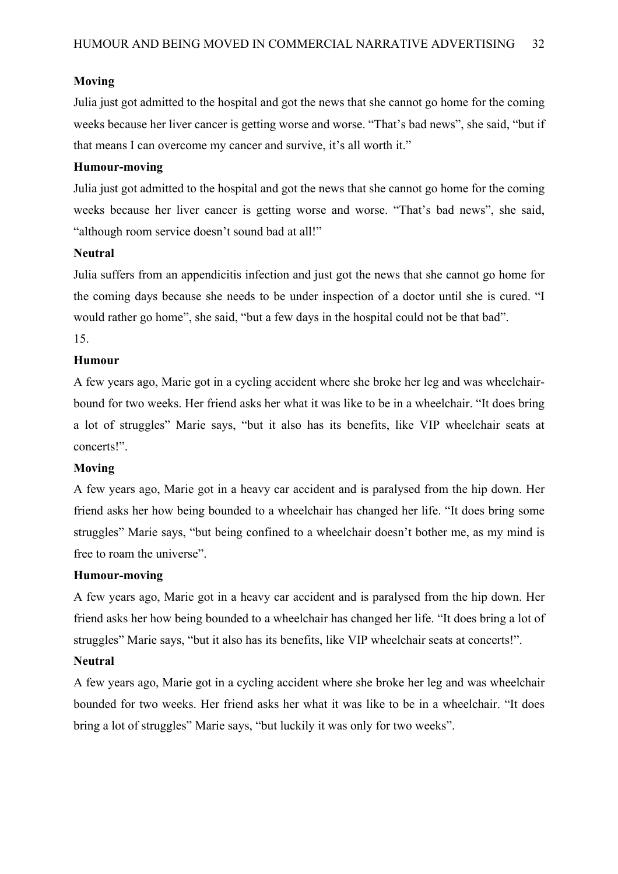### **Moving**

Julia just got admitted to the hospital and got the news that she cannot go home for the coming weeks because her liver cancer is getting worse and worse. "That's bad news", she said, "but if that means I can overcome my cancer and survive, it's all worth it."

### **Humour-moving**

Julia just got admitted to the hospital and got the news that she cannot go home for the coming weeks because her liver cancer is getting worse and worse. "That's bad news", she said, "although room service doesn't sound bad at all!"

## **Neutral**

Julia suffers from an appendicitis infection and just got the news that she cannot go home for the coming days because she needs to be under inspection of a doctor until she is cured. "I would rather go home", she said, "but a few days in the hospital could not be that bad".

## 15.

## **Humour**

A few years ago, Marie got in a cycling accident where she broke her leg and was wheelchairbound for two weeks. Her friend asks her what it was like to be in a wheelchair. "It does bring a lot of struggles" Marie says, "but it also has its benefits, like VIP wheelchair seats at concerts!".

### **Moving**

A few years ago, Marie got in a heavy car accident and is paralysed from the hip down. Her friend asks her how being bounded to a wheelchair has changed her life. "It does bring some struggles" Marie says, "but being confined to a wheelchair doesn't bother me, as my mind is free to roam the universe".

## **Humour-moving**

A few years ago, Marie got in a heavy car accident and is paralysed from the hip down. Her friend asks her how being bounded to a wheelchair has changed her life. "It does bring a lot of struggles" Marie says, "but it also has its benefits, like VIP wheelchair seats at concerts!".

### **Neutral**

A few years ago, Marie got in a cycling accident where she broke her leg and was wheelchair bounded for two weeks. Her friend asks her what it was like to be in a wheelchair. "It does bring a lot of struggles" Marie says, "but luckily it was only for two weeks".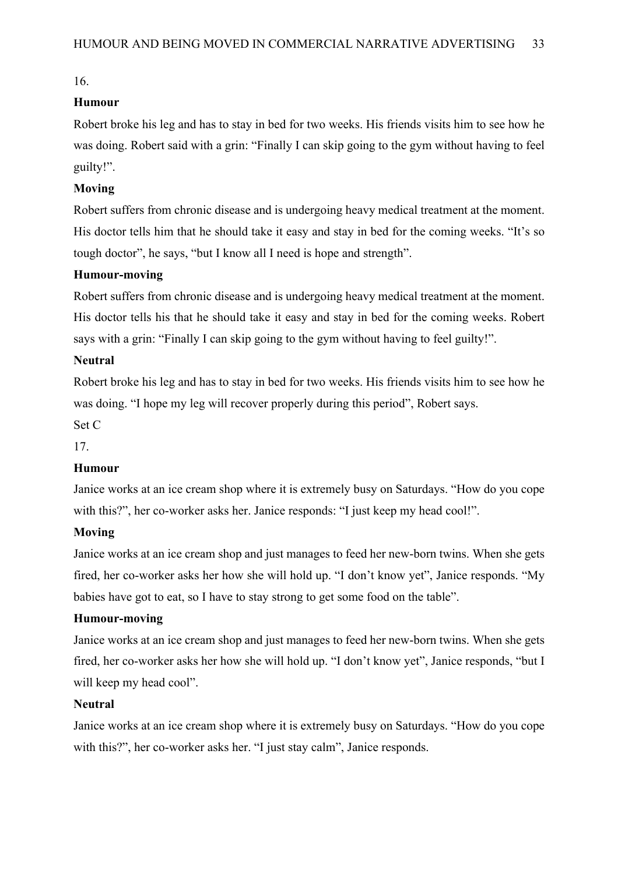## **Humour**

Robert broke his leg and has to stay in bed for two weeks. His friends visits him to see how he was doing. Robert said with a grin: "Finally I can skip going to the gym without having to feel guilty!".

## **Moving**

Robert suffers from chronic disease and is undergoing heavy medical treatment at the moment. His doctor tells him that he should take it easy and stay in bed for the coming weeks. "It's so tough doctor", he says, "but I know all I need is hope and strength".

## **Humour-moving**

Robert suffers from chronic disease and is undergoing heavy medical treatment at the moment. His doctor tells his that he should take it easy and stay in bed for the coming weeks. Robert says with a grin: "Finally I can skip going to the gym without having to feel guilty!".

### **Neutral**

Robert broke his leg and has to stay in bed for two weeks. His friends visits him to see how he was doing. "I hope my leg will recover properly during this period", Robert says.

Set C

17.

### **Humour**

Janice works at an ice cream shop where it is extremely busy on Saturdays. "How do you cope with this?", her co-worker asks her. Janice responds: "I just keep my head cool!".

### **Moving**

Janice works at an ice cream shop and just manages to feed her new-born twins. When she gets fired, her co-worker asks her how she will hold up. "I don't know yet", Janice responds. "My babies have got to eat, so I have to stay strong to get some food on the table".

## **Humour-moving**

Janice works at an ice cream shop and just manages to feed her new-born twins. When she gets fired, her co-worker asks her how she will hold up. "I don't know yet", Janice responds, "but I will keep my head cool".

### **Neutral**

Janice works at an ice cream shop where it is extremely busy on Saturdays. "How do you cope with this?", her co-worker asks her. "I just stay calm", Janice responds.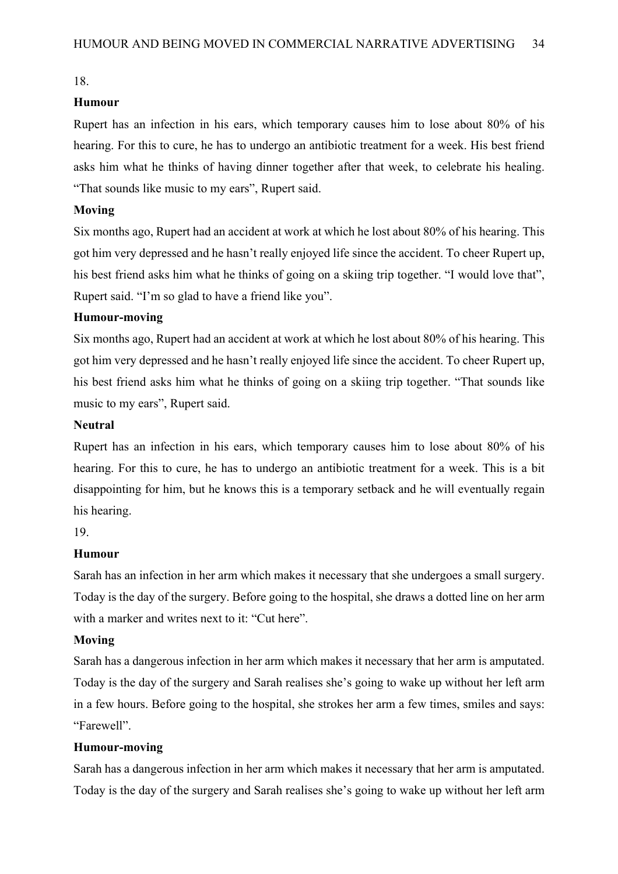### **Humour**

Rupert has an infection in his ears, which temporary causes him to lose about 80% of his hearing. For this to cure, he has to undergo an antibiotic treatment for a week. His best friend asks him what he thinks of having dinner together after that week, to celebrate his healing. "That sounds like music to my ears", Rupert said.

#### **Moving**

Six months ago, Rupert had an accident at work at which he lost about 80% of his hearing. This got him very depressed and he hasn't really enjoyed life since the accident. To cheer Rupert up, his best friend asks him what he thinks of going on a skiing trip together. "I would love that", Rupert said. "I'm so glad to have a friend like you".

#### **Humour-moving**

Six months ago, Rupert had an accident at work at which he lost about 80% of his hearing. This got him very depressed and he hasn't really enjoyed life since the accident. To cheer Rupert up, his best friend asks him what he thinks of going on a skiing trip together. "That sounds like music to my ears", Rupert said.

#### **Neutral**

Rupert has an infection in his ears, which temporary causes him to lose about 80% of his hearing. For this to cure, he has to undergo an antibiotic treatment for a week. This is a bit disappointing for him, but he knows this is a temporary setback and he will eventually regain his hearing.

19.

#### **Humour**

Sarah has an infection in her arm which makes it necessary that she undergoes a small surgery. Today is the day of the surgery. Before going to the hospital, she draws a dotted line on her arm with a marker and writes next to it: "Cut here".

#### **Moving**

Sarah has a dangerous infection in her arm which makes it necessary that her arm is amputated. Today is the day of the surgery and Sarah realises she's going to wake up without her left arm in a few hours. Before going to the hospital, she strokes her arm a few times, smiles and says: "Farewell".

#### **Humour-moving**

Sarah has a dangerous infection in her arm which makes it necessary that her arm is amputated. Today is the day of the surgery and Sarah realises she's going to wake up without her left arm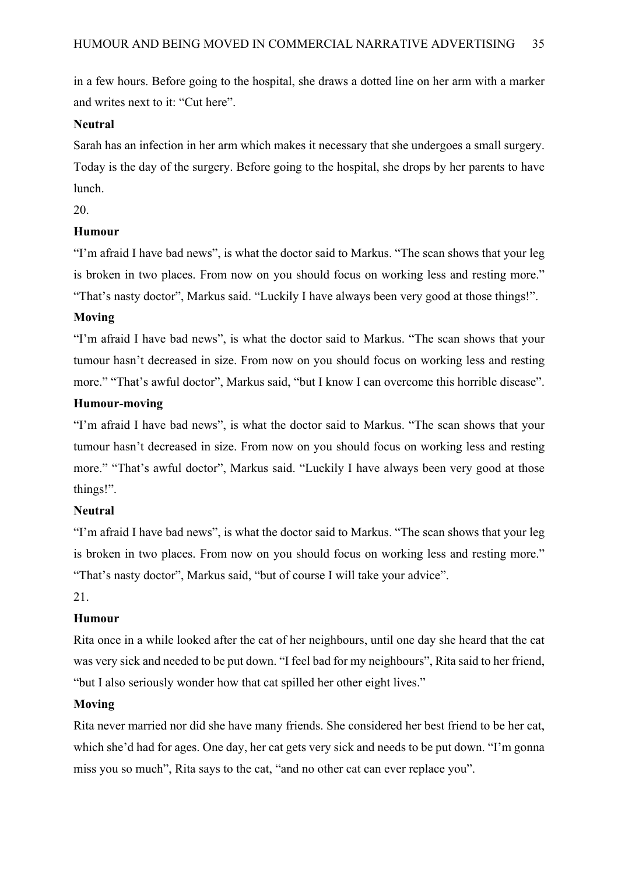in a few hours. Before going to the hospital, she draws a dotted line on her arm with a marker and writes next to it: "Cut here".

### **Neutral**

Sarah has an infection in her arm which makes it necessary that she undergoes a small surgery. Today is the day of the surgery. Before going to the hospital, she drops by her parents to have lunch.

20.

## **Humour**

"I'm afraid I have bad news", is what the doctor said to Markus. "The scan shows that your leg is broken in two places. From now on you should focus on working less and resting more." "That's nasty doctor", Markus said. "Luckily I have always been very good at those things!".

### **Moving**

"I'm afraid I have bad news", is what the doctor said to Markus. "The scan shows that your tumour hasn't decreased in size. From now on you should focus on working less and resting more." "That's awful doctor", Markus said, "but I know I can overcome this horrible disease".

## **Humour-moving**

"I'm afraid I have bad news", is what the doctor said to Markus. "The scan shows that your tumour hasn't decreased in size. From now on you should focus on working less and resting more." "That's awful doctor", Markus said. "Luckily I have always been very good at those things!".

### **Neutral**

"I'm afraid I have bad news", is what the doctor said to Markus. "The scan shows that your leg is broken in two places. From now on you should focus on working less and resting more." "That's nasty doctor", Markus said, "but of course I will take your advice".

#### 21.

### **Humour**

Rita once in a while looked after the cat of her neighbours, until one day she heard that the cat was very sick and needed to be put down. "I feel bad for my neighbours", Rita said to her friend, "but I also seriously wonder how that cat spilled her other eight lives."

### **Moving**

Rita never married nor did she have many friends. She considered her best friend to be her cat, which she'd had for ages. One day, her cat gets very sick and needs to be put down. "I'm gonna miss you so much", Rita says to the cat, "and no other cat can ever replace you".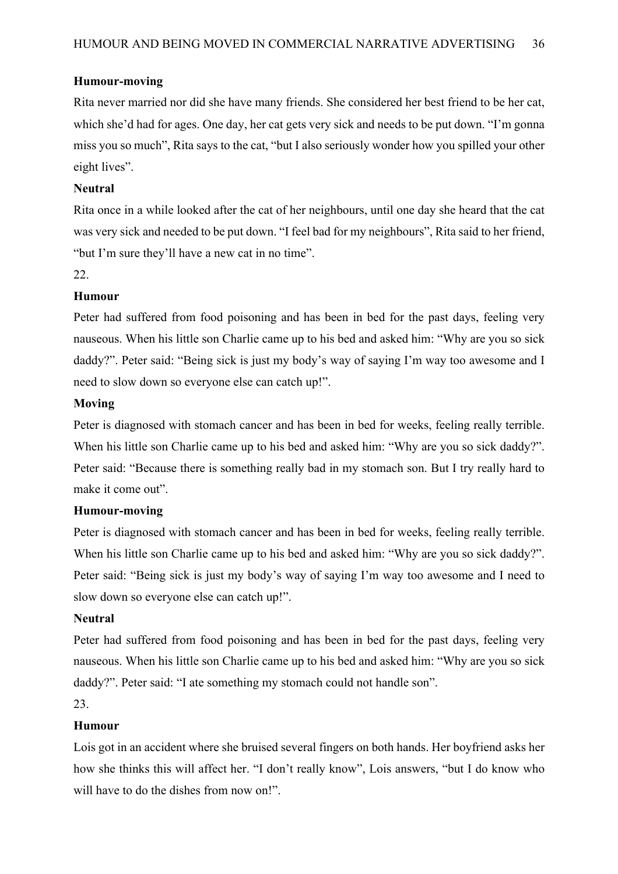### **Humour-moving**

Rita never married nor did she have many friends. She considered her best friend to be her cat, which she'd had for ages. One day, her cat gets very sick and needs to be put down. "I'm gonna miss you so much", Rita says to the cat, "but I also seriously wonder how you spilled your other eight lives".

### **Neutral**

Rita once in a while looked after the cat of her neighbours, until one day she heard that the cat was very sick and needed to be put down. "I feel bad for my neighbours", Rita said to her friend, "but I'm sure they'll have a new cat in no time".

#### 22.

## **Humour**

Peter had suffered from food poisoning and has been in bed for the past days, feeling very nauseous. When his little son Charlie came up to his bed and asked him: "Why are you so sick daddy?". Peter said: "Being sick is just my body's way of saying I'm way too awesome and I need to slow down so everyone else can catch up!".

#### **Moving**

Peter is diagnosed with stomach cancer and has been in bed for weeks, feeling really terrible. When his little son Charlie came up to his bed and asked him: "Why are you so sick daddy?". Peter said: "Because there is something really bad in my stomach son. But I try really hard to make it come out".

### **Humour-moving**

Peter is diagnosed with stomach cancer and has been in bed for weeks, feeling really terrible. When his little son Charlie came up to his bed and asked him: "Why are you so sick daddy?". Peter said: "Being sick is just my body's way of saying I'm way too awesome and I need to slow down so everyone else can catch up!".

### **Neutral**

Peter had suffered from food poisoning and has been in bed for the past days, feeling very nauseous. When his little son Charlie came up to his bed and asked him: "Why are you so sick daddy?". Peter said: "I ate something my stomach could not handle son".

23.

### **Humour**

Lois got in an accident where she bruised several fingers on both hands. Her boyfriend asks her how she thinks this will affect her. "I don't really know", Lois answers, "but I do know who will have to do the dishes from now on!".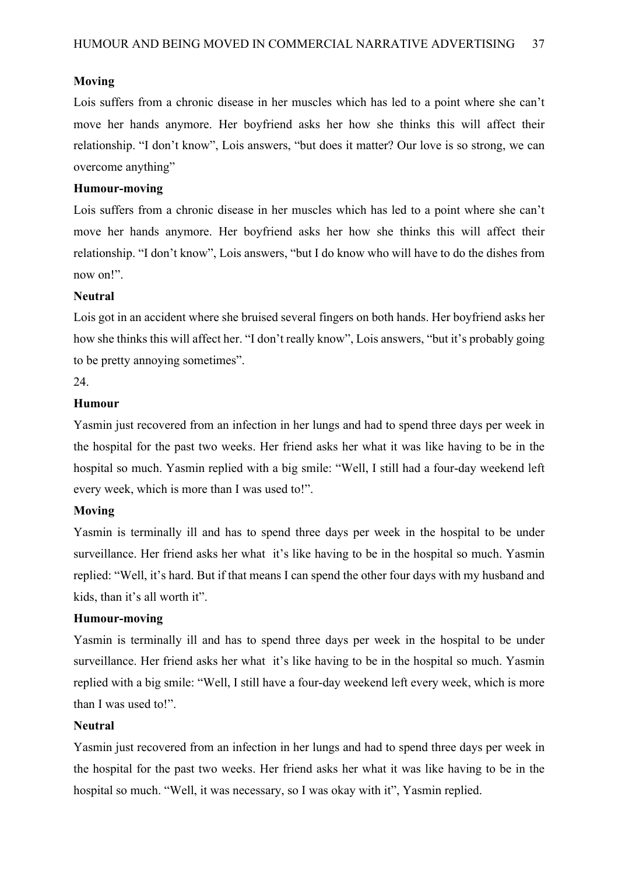### **Moving**

Lois suffers from a chronic disease in her muscles which has led to a point where she can't move her hands anymore. Her boyfriend asks her how she thinks this will affect their relationship. "I don't know", Lois answers, "but does it matter? Our love is so strong, we can overcome anything"

### **Humour-moving**

Lois suffers from a chronic disease in her muscles which has led to a point where she can't move her hands anymore. Her boyfriend asks her how she thinks this will affect their relationship. "I don't know", Lois answers, "but I do know who will have to do the dishes from now on!".

## **Neutral**

Lois got in an accident where she bruised several fingers on both hands. Her boyfriend asks her how she thinks this will affect her. "I don't really know", Lois answers, "but it's probably going to be pretty annoying sometimes".

24.

## **Humour**

Yasmin just recovered from an infection in her lungs and had to spend three days per week in the hospital for the past two weeks. Her friend asks her what it was like having to be in the hospital so much. Yasmin replied with a big smile: "Well, I still had a four-day weekend left every week, which is more than I was used to!".

### **Moving**

Yasmin is terminally ill and has to spend three days per week in the hospital to be under surveillance. Her friend asks her what it's like having to be in the hospital so much. Yasmin replied: "Well, it's hard. But if that means I can spend the other four days with my husband and kids, than it's all worth it".

### **Humour-moving**

Yasmin is terminally ill and has to spend three days per week in the hospital to be under surveillance. Her friend asks her what it's like having to be in the hospital so much. Yasmin replied with a big smile: "Well, I still have a four-day weekend left every week, which is more than I was used to!".

### **Neutral**

Yasmin just recovered from an infection in her lungs and had to spend three days per week in the hospital for the past two weeks. Her friend asks her what it was like having to be in the hospital so much. "Well, it was necessary, so I was okay with it", Yasmin replied.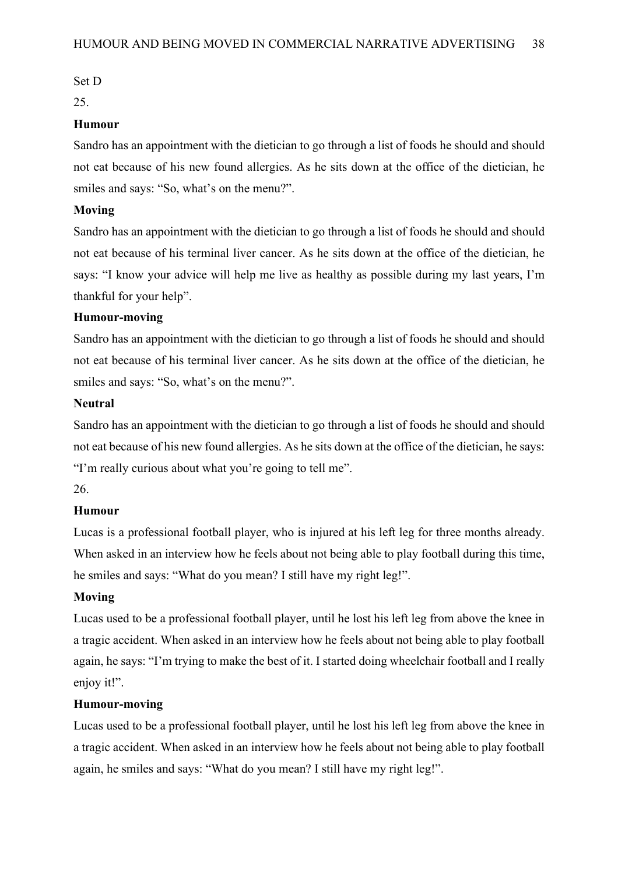#### Set D

25.

#### **Humour**

Sandro has an appointment with the dietician to go through a list of foods he should and should not eat because of his new found allergies. As he sits down at the office of the dietician, he smiles and says: "So, what's on the menu?".

#### **Moving**

Sandro has an appointment with the dietician to go through a list of foods he should and should not eat because of his terminal liver cancer. As he sits down at the office of the dietician, he says: "I know your advice will help me live as healthy as possible during my last years, I'm thankful for your help".

#### **Humour-moving**

Sandro has an appointment with the dietician to go through a list of foods he should and should not eat because of his terminal liver cancer. As he sits down at the office of the dietician, he smiles and says: "So, what's on the menu?".

## **Neutral**

Sandro has an appointment with the dietician to go through a list of foods he should and should not eat because of his new found allergies. As he sits down at the office of the dietician, he says: "I'm really curious about what you're going to tell me".

#### 26.

#### **Humour**

Lucas is a professional football player, who is injured at his left leg for three months already. When asked in an interview how he feels about not being able to play football during this time, he smiles and says: "What do you mean? I still have my right leg!".

#### **Moving**

Lucas used to be a professional football player, until he lost his left leg from above the knee in a tragic accident. When asked in an interview how he feels about not being able to play football again, he says: "I'm trying to make the best of it. I started doing wheelchair football and I really enjoy it!".

### **Humour-moving**

Lucas used to be a professional football player, until he lost his left leg from above the knee in a tragic accident. When asked in an interview how he feels about not being able to play football again, he smiles and says: "What do you mean? I still have my right leg!".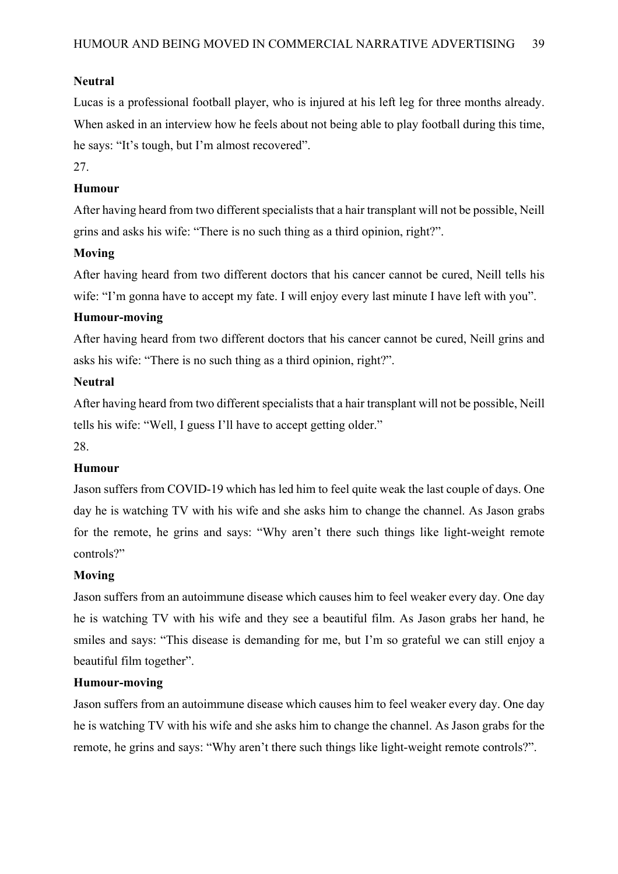## **Neutral**

Lucas is a professional football player, who is injured at his left leg for three months already. When asked in an interview how he feels about not being able to play football during this time, he says: "It's tough, but I'm almost recovered".

## 27.

## **Humour**

After having heard from two different specialists that a hair transplant will not be possible, Neill grins and asks his wife: "There is no such thing as a third opinion, right?".

## **Moving**

After having heard from two different doctors that his cancer cannot be cured, Neill tells his wife: "I'm gonna have to accept my fate. I will enjoy every last minute I have left with you".

### **Humour-moving**

After having heard from two different doctors that his cancer cannot be cured, Neill grins and asks his wife: "There is no such thing as a third opinion, right?".

### **Neutral**

After having heard from two different specialists that a hair transplant will not be possible, Neill tells his wife: "Well, I guess I'll have to accept getting older."

### 28.

### **Humour**

Jason suffers from COVID-19 which has led him to feel quite weak the last couple of days. One day he is watching TV with his wife and she asks him to change the channel. As Jason grabs for the remote, he grins and says: "Why aren't there such things like light-weight remote controls?"

### **Moving**

Jason suffers from an autoimmune disease which causes him to feel weaker every day. One day he is watching TV with his wife and they see a beautiful film. As Jason grabs her hand, he smiles and says: "This disease is demanding for me, but I'm so grateful we can still enjoy a beautiful film together".

### **Humour-moving**

Jason suffers from an autoimmune disease which causes him to feel weaker every day. One day he is watching TV with his wife and she asks him to change the channel. As Jason grabs for the remote, he grins and says: "Why aren't there such things like light-weight remote controls?".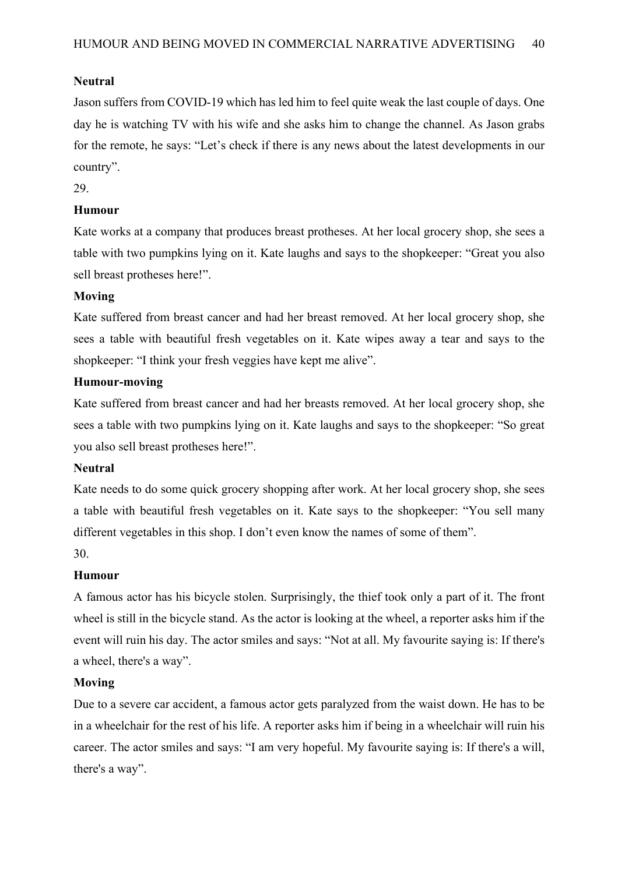## **Neutral**

Jason suffers from COVID-19 which has led him to feel quite weak the last couple of days. One day he is watching TV with his wife and she asks him to change the channel. As Jason grabs for the remote, he says: "Let's check if there is any news about the latest developments in our country".

## 29.

## **Humour**

Kate works at a company that produces breast protheses. At her local grocery shop, she sees a table with two pumpkins lying on it. Kate laughs and says to the shopkeeper: "Great you also sell breast protheses here!".

### **Moving**

Kate suffered from breast cancer and had her breast removed. At her local grocery shop, she sees a table with beautiful fresh vegetables on it. Kate wipes away a tear and says to the shopkeeper: "I think your fresh veggies have kept me alive".

### **Humour-moving**

Kate suffered from breast cancer and had her breasts removed. At her local grocery shop, she sees a table with two pumpkins lying on it. Kate laughs and says to the shopkeeper: "So great you also sell breast protheses here!".

### **Neutral**

Kate needs to do some quick grocery shopping after work. At her local grocery shop, she sees a table with beautiful fresh vegetables on it. Kate says to the shopkeeper: "You sell many different vegetables in this shop. I don't even know the names of some of them".

30.

## **Humour**

A famous actor has his bicycle stolen. Surprisingly, the thief took only a part of it. The front wheel is still in the bicycle stand. As the actor is looking at the wheel, a reporter asks him if the event will ruin his day. The actor smiles and says: "Not at all. My favourite saying is: If there's a wheel, there's a way".

### **Moving**

Due to a severe car accident, a famous actor gets paralyzed from the waist down. He has to be in a wheelchair for the rest of his life. A reporter asks him if being in a wheelchair will ruin his career. The actor smiles and says: "I am very hopeful. My favourite saying is: If there's a will, there's a way".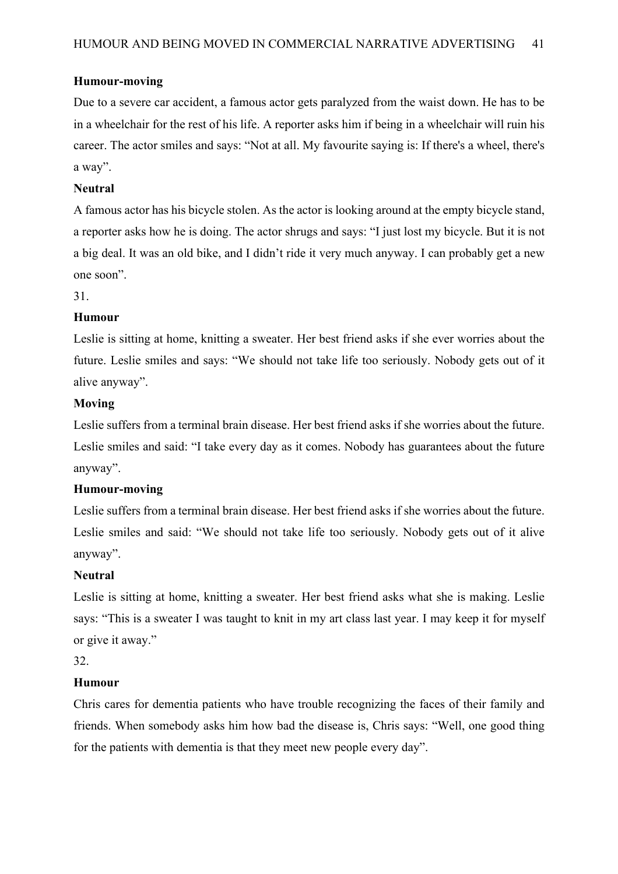## **Humour-moving**

Due to a severe car accident, a famous actor gets paralyzed from the waist down. He has to be in a wheelchair for the rest of his life. A reporter asks him if being in a wheelchair will ruin his career. The actor smiles and says: "Not at all. My favourite saying is: If there's a wheel, there's a way".

### **Neutral**

A famous actor has his bicycle stolen. As the actor is looking around at the empty bicycle stand, a reporter asks how he is doing. The actor shrugs and says: "I just lost my bicycle. But it is not a big deal. It was an old bike, and I didn't ride it very much anyway. I can probably get a new one soon".

31.

## **Humour**

Leslie is sitting at home, knitting a sweater. Her best friend asks if she ever worries about the future. Leslie smiles and says: "We should not take life too seriously. Nobody gets out of it alive anyway".

### **Moving**

Leslie suffers from a terminal brain disease. Her best friend asks if she worries about the future. Leslie smiles and said: "I take every day as it comes. Nobody has guarantees about the future anyway".

### **Humour-moving**

Leslie suffers from a terminal brain disease. Her best friend asks if she worries about the future. Leslie smiles and said: "We should not take life too seriously. Nobody gets out of it alive anyway".

### **Neutral**

Leslie is sitting at home, knitting a sweater. Her best friend asks what she is making. Leslie says: "This is a sweater I was taught to knit in my art class last year. I may keep it for myself or give it away."

32.

### **Humour**

Chris cares for dementia patients who have trouble recognizing the faces of their family and friends. When somebody asks him how bad the disease is, Chris says: "Well, one good thing for the patients with dementia is that they meet new people every day".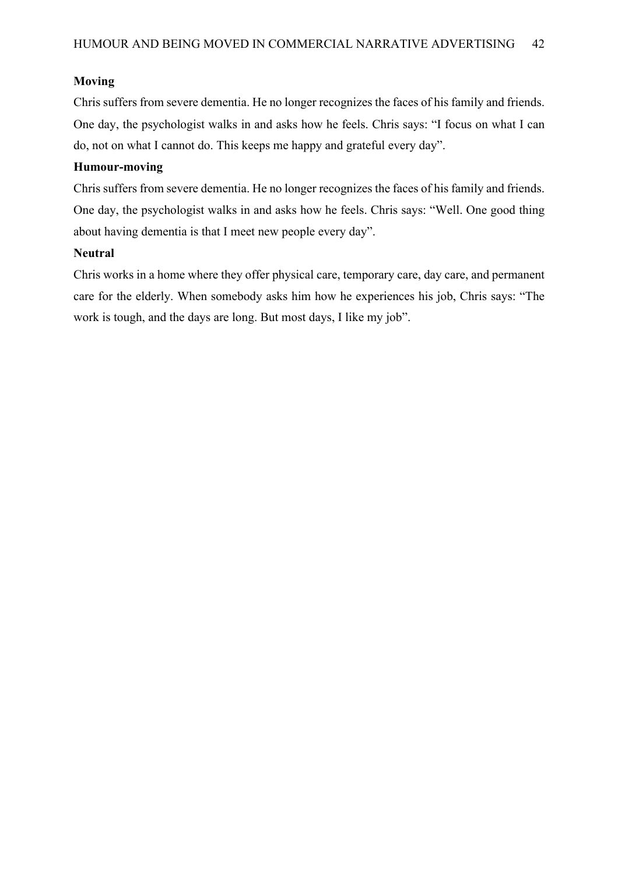### **Moving**

Chris suffers from severe dementia. He no longer recognizes the faces of his family and friends. One day, the psychologist walks in and asks how he feels. Chris says: "I focus on what I can do, not on what I cannot do. This keeps me happy and grateful every day".

## **Humour-moving**

Chris suffers from severe dementia. He no longer recognizes the faces of his family and friends. One day, the psychologist walks in and asks how he feels. Chris says: "Well. One good thing about having dementia is that I meet new people every day".

## **Neutral**

Chris works in a home where they offer physical care, temporary care, day care, and permanent care for the elderly. When somebody asks him how he experiences his job, Chris says: "The work is tough, and the days are long. But most days, I like my job".